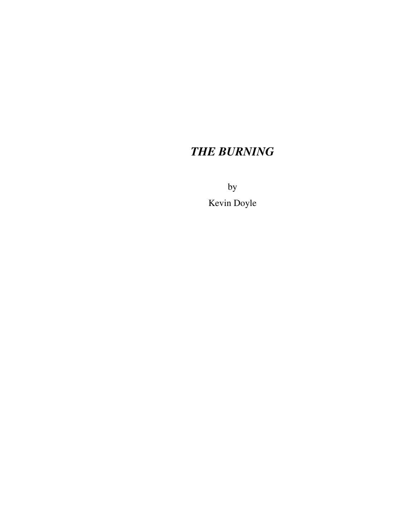# *THE BURNING*

by

Kevin Doyle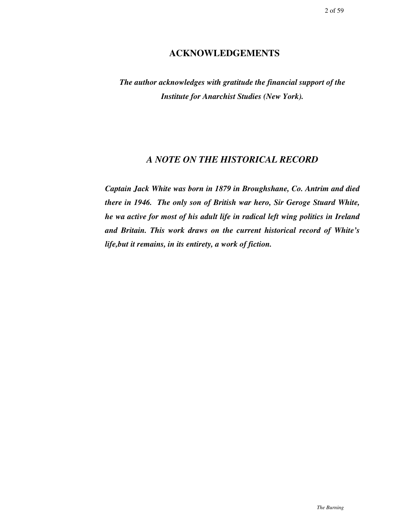# **ACKNOWLEDGEMENTS**

*The author acknowledges with gratitude the financial support of the Institute for Anarchist Studies (New York).*

# *A NOTE ON THE HISTORICAL RECORD*

*Captain Jack White was born in 1879 in Broughshane, Co. Antrim and died there in 1946. The only son of British war hero, Sir Geroge Stuard White, he wa active for most of his adult life in radical left wing politics in Ireland and Britain. This work draws on the current historical record of White's life,but it remains, in its entirety, a work of fiction.*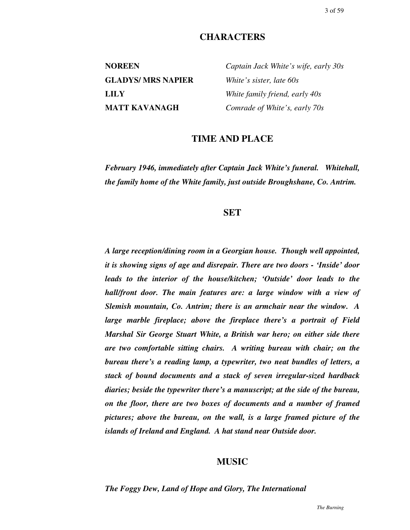# **CHARACTERS**

**GLADYS/ MRS NAPIER** *White's sister, late 60s*

**NOREEN** *Captain Jack White's wife, early 30s* **LILY** *White family friend, early 40s* **MATT KAVANAGH** *Comrade of White's, early 70s*

# **TIME AND PLACE**

*February 1946, immediately after Captain Jack White's funeral. Whitehall, the family home of the White family, just outside Broughshane, Co. Antrim.*

### **SET**

*A large reception/dining room in a Georgian house. Though well appointed, it is showing signs of age and disrepair. There are two doors - 'Inside' door leads to the interior of the house/kitchen; 'Outside' door leads to the hall/front door. The main features are: a large window with a view of Slemish mountain, Co. Antrim; there is an armchair near the window. A large marble fireplace; above the fireplace there's a portrait of Field Marshal Sir George Stuart White, a British war hero; on either side there are two comfortable sitting chairs. A writing bureau with chair; on the bureau there's a reading lamp, a typewriter, two neat bundles of letters, a stack of bound documents and a stack of seven irregular-sized hardback diaries; beside the typewriter there's a manuscript; at the side of the bureau, on the floor, there are two boxes of documents and a number of framed pictures; above the bureau, on the wall, is a large framed picture of the islands of Ireland and England. A hat stand near Outside door.*

# **MUSIC**

#### *The Foggy Dew, Land of Hope and Glory, The International*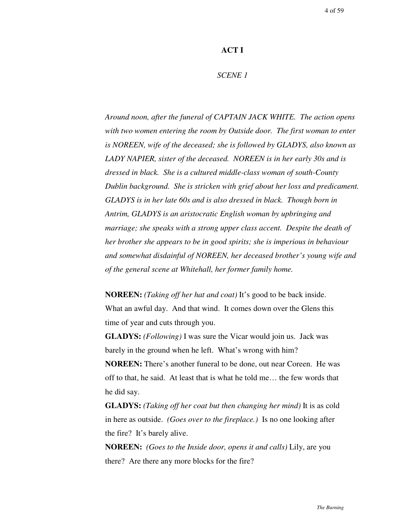### **ACT I**

### *SCENE 1*

*Around noon, after the funeral of CAPTAIN JACK WHITE. The action opens with two women entering the room by Outside door. The first woman to enter is NOREEN, wife of the deceased; she is followed by GLADYS, also known as LADY NAPIER, sister of the deceased. NOREEN is in her early 30s and is dressed in black. She is a cultured middle-class woman of south-County Dublin background. She is stricken with grief about her loss and predicament. GLADYS is in her late 60s and is also dressed in black. Though born in Antrim, GLADYS is an aristocratic English woman by upbringing and marriage; she speaks with a strong upper class accent. Despite the death of her brother she appears to be in good spirits; she is imperious in behaviour and somewhat disdainful of NOREEN, her deceased brother's young wife and of the general scene at Whitehall, her former family home.*

**NOREEN:** *(Taking off her hat and coat)* It's good to be back inside. What an awful day. And that wind. It comes down over the Glens this time of year and cuts through you.

**GLADYS:** *(Following)* I was sure the Vicar would join us. Jack was barely in the ground when he left. What's wrong with him?

**NOREEN:** There's another funeral to be done, out near Coreen. He was off to that, he said. At least that is what he told me… the few words that he did say.

**GLADYS:** *(Taking off her coat but then changing her mind)* It is as cold in here as outside. *(Goes over to the fireplace.)* Is no one looking after the fire? It's barely alive.

**NOREEN:** *(Goes to the Inside door, opens it and calls)* Lily, are you there? Are there any more blocks for the fire?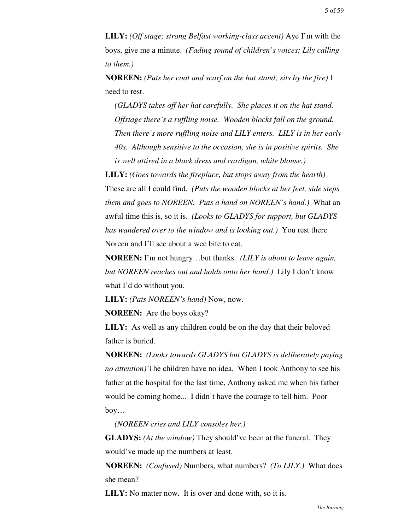**LILY:** *(Off stage; strong Belfast working-class accent)* Aye I'm with the boys, give me a minute. *(Fading sound of children's voices; Lily calling to them.)*

**NOREEN:** *(Puts her coat and scarf on the hat stand; sits by the fire)* I need to rest.

*(GLADYS takes off her hat carefully. She places it on the hat stand. Offstage there's a ruffling noise. Wooden blocks fall on the ground. Then there's more ruffling noise and LILY enters. LILY is in her early 40s. Although sensitive to the occasion, she is in positive spirits. She is well attired in a black dress and cardigan, white blouse.)*

**LILY:** *(Goes towards the fireplace, but stops away from the hearth)* These are all I could find. *(Puts the wooden blocks at her feet, side steps them and goes to NOREEN. Puts a hand on NOREEN's hand.)* What an awful time this is, so it is. *(Looks to GLADYS for support, but GLADYS has wandered over to the window and is looking out.)* You rest there Noreen and I'll see about a wee bite to eat.

**NOREEN:** I'm not hungry…but thanks. *(LILY is about to leave again, but NOREEN reaches out and holds onto her hand.)* Lily I don't know what I'd do without you.

**LILY:** *(Pats NOREEN's hand)* Now, now.

**NOREEN:** Are the boys okay?

**LILY:** As well as any children could be on the day that their beloved father is buried.

**NOREEN:** *(Looks towards GLADYS but GLADYS is deliberately paying no attention)* The children have no idea. When I took Anthony to see his father at the hospital for the last time, Anthony asked me when his father would be coming home... I didn't have the courage to tell him. Poor boy…

*(NOREEN cries and LILY consoles her.)*

**GLADYS:** *(At the window)* They should've been at the funeral. They would've made up the numbers at least.

**NOREEN:** *(Confused)* Numbers, what numbers? *(To LILY.)* What does she mean?

**LILY:** No matter now. It is over and done with, so it is.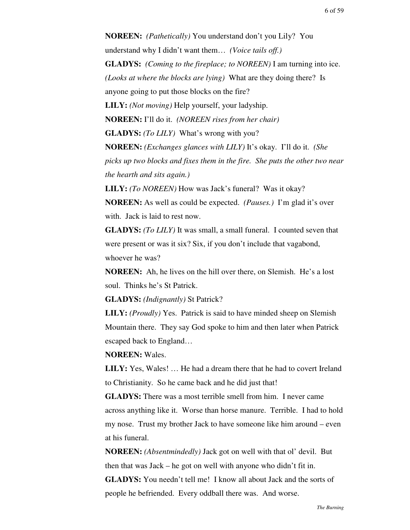**NOREEN:** *(Pathetically)* You understand don't you Lily? You understand why I didn't want them… *(Voice tails off.)* **GLADYS:** *(Coming to the fireplace; to NOREEN)* I am turning into ice. *(Looks at where the blocks are lying)* What are they doing there? Is anyone going to put those blocks on the fire? **LILY:** *(Not moving)* Help yourself, your ladyship. **NOREEN:** I'll do it. *(NOREEN rises from her chair)* **GLADYS:** *(To LILY)* What's wrong with you? **NOREEN:** *(Exchanges glances with LILY)* It's okay. I'll do it. *(She picks up two blocks and fixes them in the fire. She puts the other two near the hearth and sits again.)* **LILY:** *(To NOREEN)* How was Jack's funeral? Was it okay?

**NOREEN:** As well as could be expected. *(Pauses.)* I'm glad it's over with. Jack is laid to rest now.

**GLADYS:** *(To LILY)* It was small, a small funeral. I counted seven that were present or was it six? Six, if you don't include that vagabond, whoever he was?

**NOREEN:** Ah, he lives on the hill over there, on Slemish. He's a lost soul. Thinks he's St Patrick.

**GLADYS:** *(Indignantly)* St Patrick?

**LILY:** *(Proudly)* Yes. Patrick is said to have minded sheep on Slemish Mountain there. They say God spoke to him and then later when Patrick escaped back to England…

### **NOREEN:** Wales.

**LILY:** Yes, Wales! … He had a dream there that he had to covert Ireland to Christianity. So he came back and he did just that!

**GLADYS:** There was a most terrible smell from him. I never came across anything like it. Worse than horse manure. Terrible. I had to hold my nose. Trust my brother Jack to have someone like him around – even at his funeral.

**NOREEN:** *(Absentmindedly)* Jack got on well with that ol' devil. But then that was Jack – he got on well with anyone who didn't fit in. **GLADYS:** You needn't tell me! I know all about Jack and the sorts of people he befriended. Every oddball there was. And worse.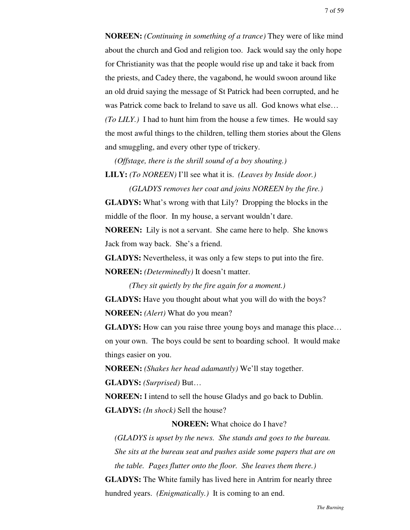**NOREEN:** *(Continuing in something of a trance)* They were of like mind about the church and God and religion too. Jack would say the only hope for Christianity was that the people would rise up and take it back from the priests, and Cadey there, the vagabond, he would swoon around like an old druid saying the message of St Patrick had been corrupted, and he was Patrick come back to Ireland to save us all. God knows what else… *(To LILY.)* I had to hunt him from the house a few times. He would say the most awful things to the children, telling them stories about the Glens and smuggling, and every other type of trickery.

*(Offstage, there is the shrill sound of a boy shouting.)*

**LILY:** *(To NOREEN)* I'll see what it is. *(Leaves by Inside door.)*

*(GLADYS removes her coat and joins NOREEN by the fire.)* **GLADYS:** What's wrong with that Lily? Dropping the blocks in the middle of the floor. In my house, a servant wouldn't dare.

**NOREEN:** Lily is not a servant. She came here to help. She knows Jack from way back. She's a friend.

**GLADYS:** Nevertheless, it was only a few steps to put into the fire. **NOREEN:** *(Determinedly)* It doesn't matter.

*(They sit quietly by the fire again for a moment.)*

**GLADYS:** Have you thought about what you will do with the boys? **NOREEN:** *(Alert)* What do you mean?

**GLADYS:** How can you raise three young boys and manage this place... on your own. The boys could be sent to boarding school. It would make things easier on you.

**NOREEN:** *(Shakes her head adamantly)* We'll stay together.

**GLADYS:** *(Surprised)* But…

**NOREEN:** I intend to sell the house Gladys and go back to Dublin.

**GLADYS:** *(In shock)* Sell the house?

**NOREEN:** What choice do I have?

*(GLADYS is upset by the news. She stands and goes to the bureau. She sits at the bureau seat and pushes aside some papers that are on the table. Pages flutter onto the floor. She leaves them there.)* **GLADYS:** The White family has lived here in Antrim for nearly three hundred years. *(Enigmatically.)* It is coming to an end.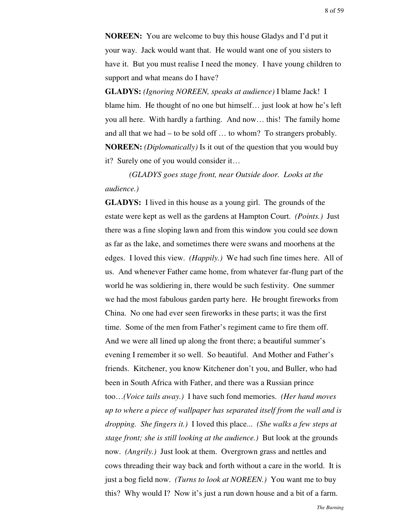**NOREEN:** You are welcome to buy this house Gladys and I'd put it your way. Jack would want that. He would want one of you sisters to have it. But you must realise I need the money. I have young children to support and what means do I have?

**GLADYS:** *(Ignoring NOREEN, speaks at audience)* I blame Jack! I blame him. He thought of no one but himself… just look at how he's left you all here. With hardly a farthing. And now… this! The family home and all that we had – to be sold off … to whom? To strangers probably. **NOREEN:** *(Diplomatically)* Is it out of the question that you would buy it? Surely one of you would consider it…

*(GLADYS goes stage front, near Outside door. Looks at the audience.)*

**GLADYS:** I lived in this house as a young girl. The grounds of the estate were kept as well as the gardens at Hampton Court. *(Points.)* Just there was a fine sloping lawn and from this window you could see down as far as the lake, and sometimes there were swans and moorhens at the edges. I loved this view. *(Happily.)* We had such fine times here. All of us. And whenever Father came home, from whatever far-flung part of the world he was soldiering in, there would be such festivity. One summer we had the most fabulous garden party here. He brought fireworks from China. No one had ever seen fireworks in these parts; it was the first time. Some of the men from Father's regiment came to fire them off. And we were all lined up along the front there; a beautiful summer's evening I remember it so well. So beautiful. And Mother and Father's friends. Kitchener, you know Kitchener don't you, and Buller, who had been in South Africa with Father, and there was a Russian prince too…*(Voice tails away.)* I have such fond memories. *(Her hand moves up to where a piece of wallpaper has separated itself from the wall and is dropping. She fingers it.)* I loved this place... *(She walks a few steps at stage front; she is still looking at the audience.)* But look at the grounds now. *(Angrily.)* Just look at them. Overgrown grass and nettles and cows threading their way back and forth without a care in the world. It is just a bog field now. *(Turns to look at NOREEN.)* You want me to buy this? Why would I? Now it's just a run down house and a bit of a farm.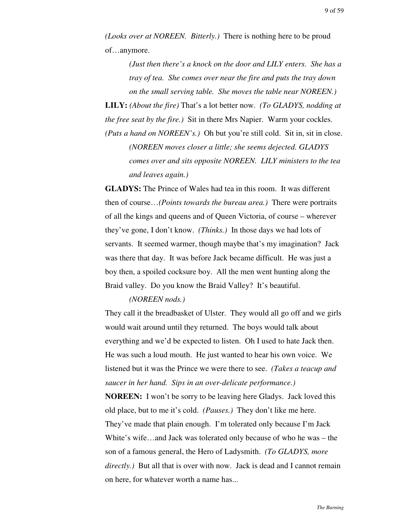*(Looks over at NOREEN. Bitterly.)* There is nothing here to be proud of…anymore.

*(Just then there's a knock on the door and LILY enters. She has a tray of tea. She comes over near the fire and puts the tray down on the small serving table. She moves the table near NOREEN.)*

**LILY:** *(About the fire)* That's a lot better now. *(To GLADYS, nodding at the free seat by the fire.)* Sit in there Mrs Napier. Warm your cockles.

*(Puts a hand on NOREEN's.)* Oh but you're still cold. Sit in, sit in close. *(NOREEN moves closer a little; she seems dejected. GLADYS comes over and sits opposite NOREEN. LILY ministers to the tea and leaves again.)*

**GLADYS:** The Prince of Wales had tea in this room. It was different then of course…*(Points towards the bureau area.)* There were portraits of all the kings and queens and of Queen Victoria, of course – wherever they've gone, I don't know. *(Thinks.)* In those days we had lots of servants. It seemed warmer, though maybe that's my imagination? Jack was there that day. It was before Jack became difficult. He was just a boy then, a spoiled cocksure boy. All the men went hunting along the Braid valley. Do you know the Braid Valley? It's beautiful.

## *(NOREEN nods.)*

They call it the breadbasket of Ulster. They would all go off and we girls would wait around until they returned. The boys would talk about everything and we'd be expected to listen. Oh I used to hate Jack then. He was such a loud mouth. He just wanted to hear his own voice. We listened but it was the Prince we were there to see. *(Takes a teacup and saucer in her hand. Sips in an over-delicate performance.)*

**NOREEN:** I won't be sorry to be leaving here Gladys. Jack loved this old place, but to me it's cold. *(Pauses.)* They don't like me here. They've made that plain enough. I'm tolerated only because I'm Jack White's wife…and Jack was tolerated only because of who he was – the son of a famous general, the Hero of Ladysmith. *(To GLADYS, more directly.)* But all that is over with now. Jack is dead and I cannot remain on here, for whatever worth a name has...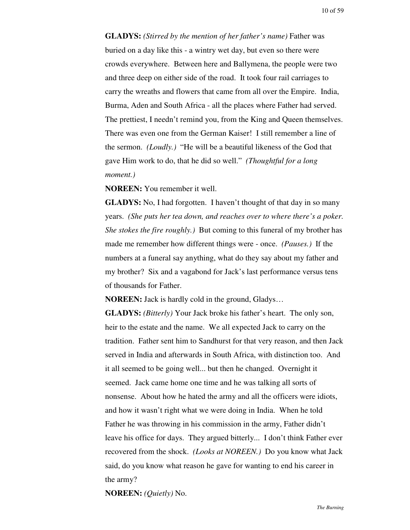**GLADYS:** *(Stirred by the mention of her father's name)* Father was buried on a day like this - a wintry wet day, but even so there were crowds everywhere. Between here and Ballymena, the people were two and three deep on either side of the road. It took four rail carriages to carry the wreaths and flowers that came from all over the Empire. India, Burma, Aden and South Africa - all the places where Father had served. The prettiest, I needn't remind you, from the King and Queen themselves. There was even one from the German Kaiser! I still remember a line of the sermon. *(Loudly.)* "He will be a beautiful likeness of the God that gave Him work to do, that he did so well." *(Thoughtful for a long moment.)*

**NOREEN:** You remember it well.

**GLADYS:** No, I had forgotten. I haven't thought of that day in so many years. *(She puts her tea down, and reaches over to where there's a poker. She stokes the fire roughly.)* But coming to this funeral of my brother has made me remember how different things were - once. *(Pauses.)* If the numbers at a funeral say anything, what do they say about my father and my brother? Six and a vagabond for Jack's last performance versus tens of thousands for Father.

**NOREEN:** Jack is hardly cold in the ground, Gladys…

**GLADYS:** *(Bitterly)* Your Jack broke his father's heart. The only son, heir to the estate and the name. We all expected Jack to carry on the tradition. Father sent him to Sandhurst for that very reason, and then Jack served in India and afterwards in South Africa, with distinction too. And it all seemed to be going well... but then he changed. Overnight it seemed. Jack came home one time and he was talking all sorts of nonsense. About how he hated the army and all the officers were idiots, and how it wasn't right what we were doing in India. When he told Father he was throwing in his commission in the army, Father didn't leave his office for days. They argued bitterly... I don't think Father ever recovered from the shock. *(Looks at NOREEN.)* Do you know what Jack said, do you know what reason he gave for wanting to end his career in the army?

**NOREEN:** *(Quietly)* No.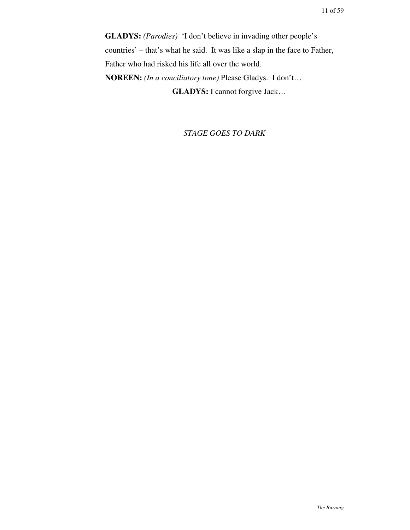**GLADYS:** *(Parodies)* 'I don't believe in invading other people's countries' – that's what he said. It was like a slap in the face to Father, Father who had risked his life all over the world. **NOREEN:** *(In a conciliatory tone)* Please Gladys. I don't… **GLADYS:** I cannot forgive Jack…

*STAGE GOES TO DARK*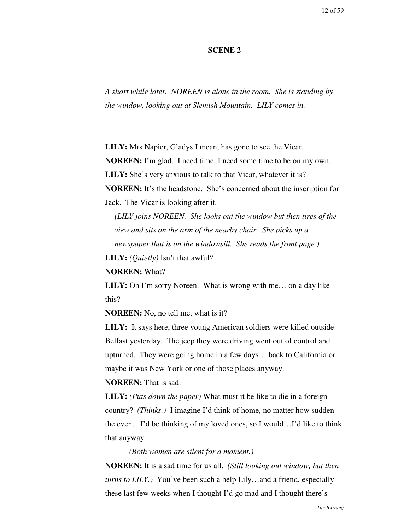#### **SCENE 2**

*A short while later. NOREEN is alone in the room. She is standing by the window, looking out at Slemish Mountain. LILY comes in.*

**LILY:** Mrs Napier, Gladys I mean, has gone to see the Vicar.

**NOREEN:** I'm glad. I need time, I need some time to be on my own.

**LILY:** She's very anxious to talk to that Vicar, whatever it is?

**NOREEN:** It's the headstone. She's concerned about the inscription for Jack. The Vicar is looking after it.

*(LILY joins NOREEN. She looks out the window but then tires of the view and sits on the arm of the nearby chair. She picks up a newspaper that is on the windowsill. She reads the front page.)*

**LILY:** *(Quietly)* Isn't that awful?

**NOREEN:** What?

**LILY:** Oh I'm sorry Noreen. What is wrong with me… on a day like this?

**NOREEN:** No, no tell me, what is it?

**LILY:** It says here, three young American soldiers were killed outside Belfast yesterday. The jeep they were driving went out of control and upturned. They were going home in a few days… back to California or maybe it was New York or one of those places anyway.

**NOREEN:** That is sad.

**LILY:** *(Puts down the paper)* What must it be like to die in a foreign country? *(Thinks.)* I imagine I'd think of home, no matter how sudden the event. I'd be thinking of my loved ones, so I would…I'd like to think that anyway.

*(Both women are silent for a moment.)*

**NOREEN:** It is a sad time for us all. *(Still looking out window, but then turns to LILY.)* You've been such a help Lily…and a friend, especially these last few weeks when I thought I'd go mad and I thought there's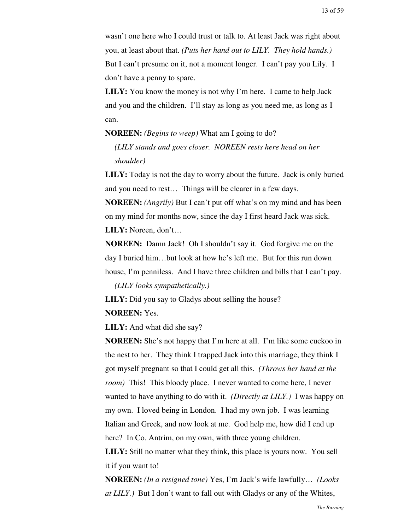wasn't one here who I could trust or talk to. At least Jack was right about you, at least about that. *(Puts her hand out to LILY. They hold hands.)* But I can't presume on it, not a moment longer. I can't pay you Lily. I don't have a penny to spare.

**LILY:** You know the money is not why I'm here. I came to help Jack and you and the children. I'll stay as long as you need me, as long as I can.

#### **NOREEN:** *(Begins to weep)* What am I going to do?

*(LILY stands and goes closer. NOREEN rests here head on her shoulder)*

**LILY:** Today is not the day to worry about the future. Jack is only buried and you need to rest… Things will be clearer in a few days.

**NOREEN:** *(Angrily)* But I can't put off what's on my mind and has been on my mind for months now, since the day I first heard Jack was sick. **LILY:** Noreen, don't…

**NOREEN:** Damn Jack! Oh I shouldn't say it. God forgive me on the day I buried him…but look at how he's left me. But for this run down house, I'm penniless. And I have three children and bills that I can't pay.

*(LILY looks sympathetically.)*

**LILY:** Did you say to Gladys about selling the house?

#### **NOREEN:** Yes.

**LILY:** And what did she say?

**NOREEN:** She's not happy that I'm here at all. I'm like some cuckoo in the nest to her. They think I trapped Jack into this marriage, they think I got myself pregnant so that I could get all this. *(Throws her hand at the room*) This! This bloody place. I never wanted to come here, I never wanted to have anything to do with it. *(Directly at LILY.)* I was happy on my own. I loved being in London. I had my own job. I was learning Italian and Greek, and now look at me. God help me, how did I end up here? In Co. Antrim, on my own, with three young children.

**LILY:** Still no matter what they think, this place is yours now. You sell it if you want to!

**NOREEN:** *(In a resigned tone)* Yes, I'm Jack's wife lawfully… *(Looks at LILY.)* But I don't want to fall out with Gladys or any of the Whites,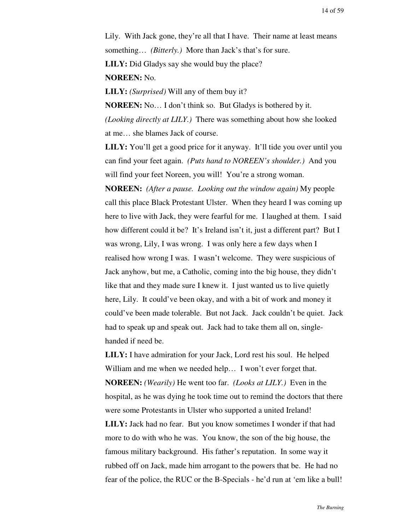Lily. With Jack gone, they're all that I have. Their name at least means something… *(Bitterly.)* More than Jack's that's for sure. **LILY:** Did Gladys say she would buy the place? **NOREEN:** No.

**LILY:** *(Surprised)* Will any of them buy it?

**NOREEN:** No… I don't think so. But Gladys is bothered by it. *(Looking directly at LILY.)* There was something about how she looked at me… she blames Jack of course.

**LILY:** You'll get a good price for it anyway. It'll tide you over until you can find your feet again. *(Puts hand to NOREEN's shoulder.)* And you will find your feet Noreen, you will! You're a strong woman.

**NOREEN:** *(After a pause. Looking out the window again)* My people call this place Black Protestant Ulster. When they heard I was coming up here to live with Jack, they were fearful for me. I laughed at them. I said how different could it be? It's Ireland isn't it, just a different part? But I was wrong, Lily, I was wrong. I was only here a few days when I realised how wrong I was. I wasn't welcome. They were suspicious of Jack anyhow, but me, a Catholic, coming into the big house, they didn't like that and they made sure I knew it. I just wanted us to live quietly here, Lily. It could've been okay, and with a bit of work and money it could've been made tolerable. But not Jack. Jack couldn't be quiet. Jack had to speak up and speak out. Jack had to take them all on, singlehanded if need be.

**LILY:** I have admiration for your Jack, Lord rest his soul. He helped William and me when we needed help... I won't ever forget that. **NOREEN:** *(Wearily)* He went too far. *(Looks at LILY.)* Even in the hospital, as he was dying he took time out to remind the doctors that there were some Protestants in Ulster who supported a united Ireland! **LILY:** Jack had no fear. But you know sometimes I wonder if that had more to do with who he was. You know, the son of the big house, the famous military background. His father's reputation. In some way it rubbed off on Jack, made him arrogant to the powers that be. He had no fear of the police, the RUC or the B-Specials - he'd run at 'em like a bull!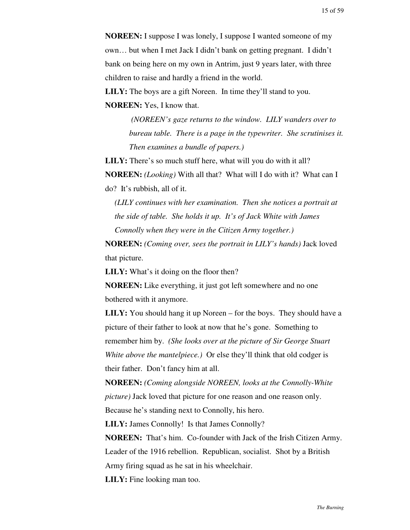**NOREEN:** I suppose I was lonely, I suppose I wanted someone of my own… but when I met Jack I didn't bank on getting pregnant. I didn't bank on being here on my own in Antrim, just 9 years later, with three children to raise and hardly a friend in the world.

**LILY:** The boys are a gift Noreen. In time they'll stand to you. **NOREEN:** Yes, I know that.

> *(NOREEN's gaze returns to the window. LILY wanders over to bureau table. There is a page in the typewriter. She scrutinises it. Then examines a bundle of papers.)*

**LILY:** There's so much stuff here, what will you do with it all? **NOREEN:** *(Looking)* With all that? What will I do with it? What can I do? It's rubbish, all of it.

*(LILY continues with her examination. Then she notices a portrait at the side of table. She holds it up. It's of Jack White with James Connolly when they were in the Citizen Army together.)*

**NOREEN:** *(Coming over, sees the portrait in LILY's hands)* Jack loved that picture.

**LILY:** What's it doing on the floor then?

**NOREEN:** Like everything, it just got left somewhere and no one bothered with it anymore.

**LILY:** You should hang it up Noreen – for the boys. They should have a picture of their father to look at now that he's gone. Something to remember him by. *(She looks over at the picture of Sir George Stuart White above the mantelpiece.)* Or else they'll think that old codger is their father. Don't fancy him at all.

**NOREEN:** *(Coming alongside NOREEN, looks at the Connolly-White picture)* Jack loved that picture for one reason and one reason only. Because he's standing next to Connolly, his hero.

**LILY:** James Connolly! Is that James Connolly?

**NOREEN:** That's him. Co-founder with Jack of the Irish Citizen Army. Leader of the 1916 rebellion. Republican, socialist. Shot by a British Army firing squad as he sat in his wheelchair.

**LILY:** Fine looking man too.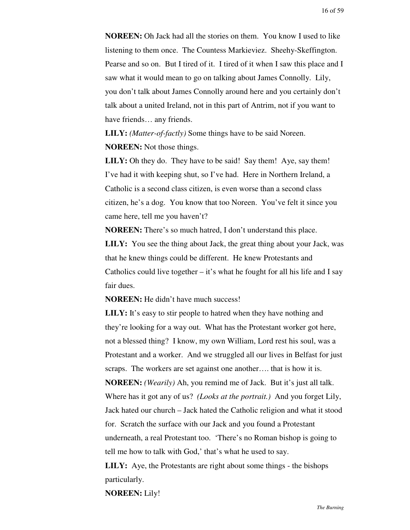**NOREEN:** Oh Jack had all the stories on them. You know I used to like listening to them once. The Countess Markieviez. Sheehy-Skeffington. Pearse and so on. But I tired of it. I tired of it when I saw this place and I saw what it would mean to go on talking about James Connolly. Lily, you don't talk about James Connolly around here and you certainly don't talk about a united Ireland, not in this part of Antrim, not if you want to have friends… any friends.

**LILY:** *(Matter-of-factly)* Some things have to be said Noreen. **NOREEN:** Not those things.

**LILY:** Oh they do. They have to be said! Say them! Aye, say them! I've had it with keeping shut, so I've had. Here in Northern Ireland, a Catholic is a second class citizen, is even worse than a second class citizen, he's a dog. You know that too Noreen. You've felt it since you came here, tell me you haven't?

**NOREEN:** There's so much hatred, I don't understand this place. **LILY:** You see the thing about Jack, the great thing about your Jack, was that he knew things could be different. He knew Protestants and Catholics could live together  $-$  it's what he fought for all his life and I say fair dues.

#### **NOREEN:** He didn't have much success!

**LILY:** It's easy to stir people to hatred when they have nothing and they're looking for a way out. What has the Protestant worker got here, not a blessed thing? I know, my own William, Lord rest his soul, was a Protestant and a worker. And we struggled all our lives in Belfast for just scraps. The workers are set against one another…. that is how it is. **NOREEN:** *(Wearily)* Ah, you remind me of Jack. But it's just all talk. Where has it got any of us? *(Looks at the portrait.)* And you forget Lily, Jack hated our church – Jack hated the Catholic religion and what it stood for. Scratch the surface with our Jack and you found a Protestant underneath, a real Protestant too. 'There's no Roman bishop is going to tell me how to talk with God,' that's what he used to say.

**LILY:** Aye, the Protestants are right about some things - the bishops particularly.

**NOREEN:** Lily!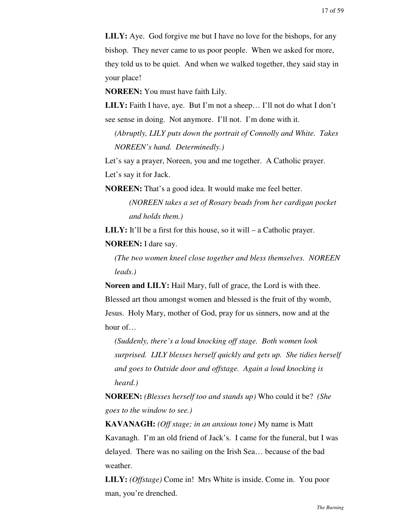**LILY:** Aye. God forgive me but I have no love for the bishops, for any bishop. They never came to us poor people. When we asked for more, they told us to be quiet. And when we walked together, they said stay in your place!

**NOREEN:** You must have faith Lily.

**LILY:** Faith I have, aye. But I'm not a sheep… I'll not do what I don't see sense in doing. Not anymore. I'll not. I'm done with it.

*(Abruptly, LILY puts down the portrait of Connolly and White. Takes NOREEN's hand. Determinedly.)*

Let's say a prayer, Noreen, you and me together. A Catholic prayer. Let's say it for Jack.

**NOREEN:** That's a good idea. It would make me feel better.

*(NOREEN takes a set of Rosary beads from her cardigan pocket and holds them.)*

**LILY:** It'll be a first for this house, so it will – a Catholic prayer.

**NOREEN:** I dare say.

*(The two women kneel close together and bless themselves. NOREEN leads.)*

**Noreen and LILY:** Hail Mary, full of grace, the Lord is with thee.

Blessed art thou amongst women and blessed is the fruit of thy womb, Jesus. Holy Mary, mother of God, pray for us sinners, now and at the hour of…

*(Suddenly, there's a loud knocking off stage. Both women look surprised. LILY blesses herself quickly and gets up. She tidies herself and goes to Outside door and offstage. Again a loud knocking is heard.)*

**NOREEN:** *(Blesses herself too and stands up)* Who could it be? *(She goes to the window to see.)*

**KAVANAGH:** *(Off stage; in an anxious tone)* My name is Matt Kavanagh. I'm an old friend of Jack's. I came for the funeral, but I was delayed. There was no sailing on the Irish Sea… because of the bad weather.

**LILY:** *(Offstage)* Come in! Mrs White is inside. Come in. You poor man, you're drenched.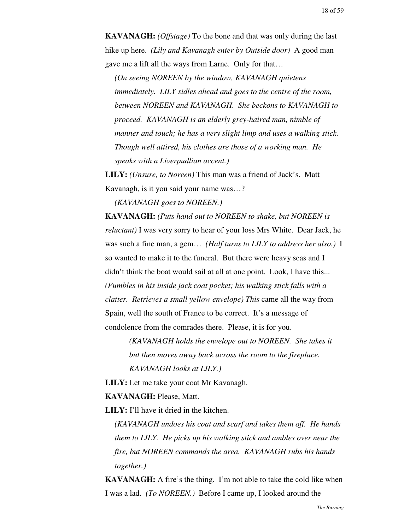**KAVANAGH:** *(Offstage)* To the bone and that was only during the last hike up here. *(Lily and Kavanagh enter by Outside door)* A good man gave me a lift all the ways from Larne. Only for that…

*(On seeing NOREEN by the window, KAVANAGH quietens immediately. LILY sidles ahead and goes to the centre of the room, between NOREEN and KAVANAGH. She beckons to KAVANAGH to proceed. KAVANAGH is an elderly grey-haired man, nimble of manner and touch; he has a very slight limp and uses a walking stick. Though well attired, his clothes are those of a working man. He speaks with a Liverpudlian accent.)*

**LILY:** *(Unsure, to Noreen)* This man was a friend of Jack's. Matt Kavanagh, is it you said your name was…?

*(KAVANAGH goes to NOREEN.)*

**KAVANAGH:** *(Puts hand out to NOREEN to shake, but NOREEN is reluctant)* I was very sorry to hear of your loss Mrs White. Dear Jack, he was such a fine man, a gem… *(Half turns to LILY to address her also.)* I so wanted to make it to the funeral. But there were heavy seas and I didn't think the boat would sail at all at one point. Look, I have this... *(Fumbles in his inside jack coat pocket; his walking stick falls with a clatter. Retrieves a small yellow envelope) This* came all the way from Spain, well the south of France to be correct. It's a message of condolence from the comrades there. Please, it is for you.

*(KAVANAGH holds the envelope out to NOREEN. She takes it but then moves away back across the room to the fireplace. KAVANAGH looks at LILY.)*

**LILY:** Let me take your coat Mr Kavanagh.

**KAVANAGH:** Please, Matt.

**LILY:** I'll have it dried in the kitchen.

*(KAVANAGH undoes his coat and scarf and takes them off. He hands them to LILY. He picks up his walking stick and ambles over near the fire, but NOREEN commands the area. KAVANAGH rubs his hands together.)*

**KAVANAGH:** A fire's the thing. I'm not able to take the cold like when I was a lad. *(To NOREEN.)* Before I came up, I looked around the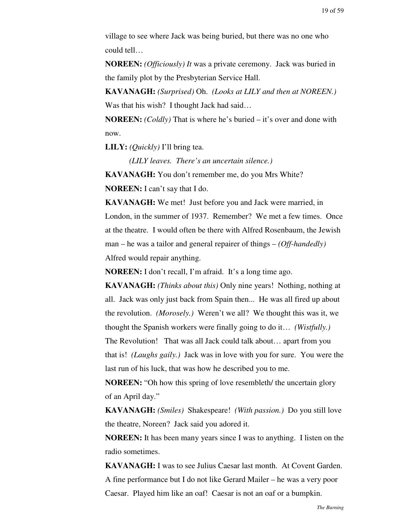village to see where Jack was being buried, but there was no one who could tell…

**NOREEN:** *(Officiously) It* was a private ceremony. Jack was buried in the family plot by the Presbyterian Service Hall.

**KAVANAGH:** *(Surprised)* Oh. *(Looks at LILY and then at NOREEN.)* Was that his wish? I thought Jack had said...

**NOREEN:** *(Coldly)* That is where he's buried – it's over and done with now.

**LILY:** *(Quickly)* I'll bring tea.

*(LILY leaves. There's an uncertain silence.)*

**KAVANAGH:** You don't remember me, do you Mrs White? **NOREEN:** I can't say that I do.

**KAVANAGH:** We met! Just before you and Jack were married, in London, in the summer of 1937. Remember? We met a few times. Once at the theatre. I would often be there with Alfred Rosenbaum, the Jewish man – he was a tailor and general repairer of things – *(Off-handedly)* Alfred would repair anything.

**NOREEN:** I don't recall, I'm afraid. It's a long time ago.

**KAVANAGH:** *(Thinks about this)* Only nine years! Nothing, nothing at all. Jack was only just back from Spain then... He was all fired up about the revolution. *(Morosely.)* Weren't we all? We thought this was it, we thought the Spanish workers were finally going to do it… *(Wistfully.)* The Revolution! That was all Jack could talk about… apart from you that is! *(Laughs gaily.)* Jack was in love with you for sure. You were the last run of his luck, that was how he described you to me.

**NOREEN:** "Oh how this spring of love resembleth/ the uncertain glory of an April day."

**KAVANAGH:** *(Smiles)* Shakespeare! *(With passion.)* Do you still love the theatre, Noreen? Jack said you adored it.

**NOREEN:** It has been many years since I was to anything. I listen on the radio sometimes.

**KAVANAGH:** I was to see Julius Caesar last month. At Covent Garden. A fine performance but I do not like Gerard Mailer – he was a very poor Caesar. Played him like an oaf! Caesar is not an oaf or a bumpkin.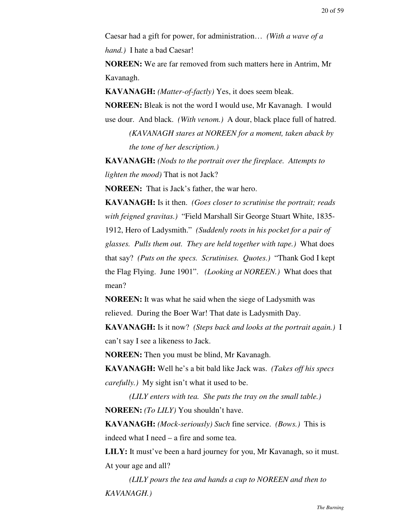Caesar had a gift for power, for administration… *(With a wave of a hand.)* I hate a bad Caesar!

**NOREEN:** We are far removed from such matters here in Antrim, Mr Kavanagh.

**KAVANAGH:** *(Matter-of-factly)* Yes, it does seem bleak.

**NOREEN:** Bleak is not the word I would use, Mr Kavanagh. I would use dour. And black. *(With venom.)* A dour, black place full of hatred.

> *(KAVANAGH stares at NOREEN for a moment, taken aback by the tone of her description.)*

**KAVANAGH:** *(Nods to the portrait over the fireplace. Attempts to lighten the mood)* That is not Jack?

**NOREEN:** That is Jack's father, the war hero.

**KAVANAGH:** Is it then. *(Goes closer to scrutinise the portrait; reads with feigned gravitas.)* "Field Marshall Sir George Stuart White, 1835- 1912, Hero of Ladysmith." *(Suddenly roots in his pocket for a pair of glasses. Pulls them out. They are held together with tape.)* What does that say? *(Puts on the specs. Scrutinises. Quotes.)* "Thank God I kept the Flag Flying. June 1901". *(Looking at NOREEN.)* What does that mean?

**NOREEN:** It was what he said when the siege of Ladysmith was relieved. During the Boer War! That date is Ladysmith Day.

**KAVANAGH:** Is it now? *(Steps back and looks at the portrait again.)* I can't say I see a likeness to Jack.

**NOREEN:** Then you must be blind, Mr Kavanagh.

**KAVANAGH:** Well he's a bit bald like Jack was. *(Takes off his specs carefully.)* My sight isn't what it used to be.

*(LILY enters with tea. She puts the tray on the small table.)* **NOREEN:** *(To LILY)* You shouldn't have.

**KAVANAGH:** *(Mock-seriously) Such* fine service. *(Bows.)* This is indeed what I need – a fire and some tea.

**LILY:** It must've been a hard journey for you, Mr Kavanagh, so it must. At your age and all?

*(LILY pours the tea and hands a cup to NOREEN and then to KAVANAGH.)*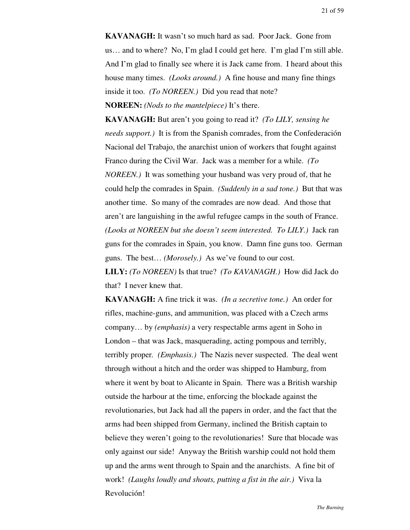**KAVANAGH:** It wasn't so much hard as sad. Poor Jack. Gone from us… and to where? No, I'm glad I could get here. I'm glad I'm still able. And I'm glad to finally see where it is Jack came from. I heard about this house many times. *(Looks around.)* A fine house and many fine things inside it too. *(To NOREEN.)* Did you read that note? **NOREEN:** *(Nods to the mantelpiece)* It's there.

**KAVANAGH:** But aren't you going to read it? *(To LILY, sensing he needs support.)* It is from the Spanish comrades, from the Confederación Nacional del Trabajo, the anarchist union of workers that fought against Franco during the Civil War. Jack was a member for a while. *(To NOREEN.)* It was something your husband was very proud of, that he could help the comrades in Spain. *(Suddenly in a sad tone.)* But that was another time. So many of the comrades are now dead. And those that aren't are languishing in the awful refugee camps in the south of France. *(Looks at NOREEN but she doesn't seem interested. To LILY.)* Jack ran guns for the comrades in Spain, you know. Damn fine guns too. German guns. The best… *(Morosely.)* As we've found to our cost.

**LILY:** *(To NOREEN)* Is that true? *(To KAVANAGH.)* How did Jack do that? I never knew that.

**KAVANAGH:** A fine trick it was. *(In a secretive tone.)* An order for rifles, machine-guns, and ammunition, was placed with a Czech arms company… by *(emphasis)* a very respectable arms agent in Soho in London – that was Jack, masquerading, acting pompous and terribly, terribly proper*. (Emphasis.)* The Nazis never suspected. The deal went through without a hitch and the order was shipped to Hamburg, from where it went by boat to Alicante in Spain. There was a British warship outside the harbour at the time, enforcing the blockade against the revolutionaries, but Jack had all the papers in order, and the fact that the arms had been shipped from Germany, inclined the British captain to believe they weren't going to the revolutionaries! Sure that blocade was only against our side! Anyway the British warship could not hold them up and the arms went through to Spain and the anarchists. A fine bit of work! *(Laughs loudly and shouts, putting a fist in the air.)* Viva la Revolución!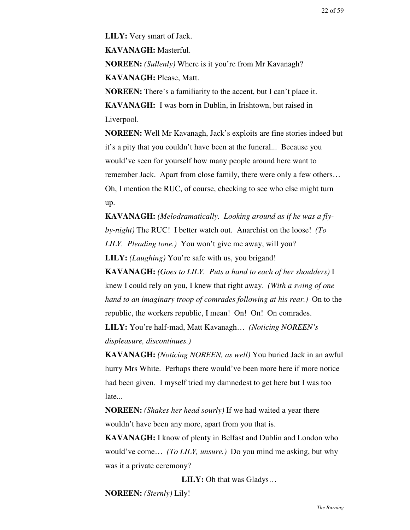**LILY:** Very smart of Jack.

**KAVANAGH:** Masterful.

**NOREEN:** *(Sullenly)* Where is it you're from Mr Kavanagh? **KAVANAGH:** Please, Matt.

**NOREEN:** There's a familiarity to the accent, but I can't place it. **KAVANAGH:** I was born in Dublin, in Irishtown, but raised in Liverpool.

**NOREEN:** Well Mr Kavanagh, Jack's exploits are fine stories indeed but it's a pity that you couldn't have been at the funeral... Because you would've seen for yourself how many people around here want to remember Jack. Apart from close family, there were only a few others… Oh, I mention the RUC, of course, checking to see who else might turn up.

**KAVANAGH:** *(Melodramatically. Looking around as if he was a flyby-night)* The RUC! I better watch out. Anarchist on the loose! *(To LILY. Pleading tone.)* You won't give me away, will you? **LILY:** *(Laughing)* You're safe with us, you brigand!

**KAVANAGH:** *(Goes to LILY. Puts a hand to each of her shoulders)* I knew I could rely on you, I knew that right away. *(With a swing of one hand to an imaginary troop of comrades following at his rear.)* On to the republic, the workers republic, I mean! On! On! On comrades.

**LILY:** You're half-mad, Matt Kavanagh… *(Noticing NOREEN's displeasure, discontinues.)*

**KAVANAGH:** *(Noticing NOREEN, as well)* You buried Jack in an awful hurry Mrs White. Perhaps there would've been more here if more notice had been given. I myself tried my damnedest to get here but I was too late...

**NOREEN:** *(Shakes her head sourly)* If we had waited a year there wouldn't have been any more, apart from you that is.

**KAVANAGH:** I know of plenty in Belfast and Dublin and London who would've come… *(To LILY, unsure.)* Do you mind me asking, but why was it a private ceremony?

**LILY:** Oh that was Gladys…

**NOREEN:** *(Sternly)* Lily!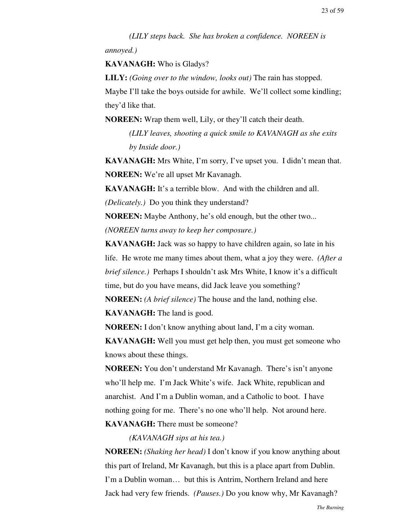*(LILY steps back. She has broken a confidence. NOREEN is*

*annoyed.)*

**KAVANAGH:** Who is Gladys?

**LILY:** *(Going over to the window, looks out)* The rain has stopped.

Maybe I'll take the boys outside for awhile. We'll collect some kindling; they'd like that.

**NOREEN:** Wrap them well, Lily, or they'll catch their death.

*(LILY leaves, shooting a quick smile to KAVANAGH as she exits by Inside door.)*

**KAVANAGH:** Mrs White, I'm sorry, I've upset you. I didn't mean that. **NOREEN:** We're all upset Mr Kavanagh.

**KAVANAGH:** It's a terrible blow. And with the children and all.

*(Delicately.)* Do you think they understand?

**NOREEN:** Maybe Anthony, he's old enough, but the other two... *(NOREEN turns away to keep her composure.)*

**KAVANAGH:** Jack was so happy to have children again, so late in his life. He wrote me many times about them, what a joy they were. *(After a brief silence.)* Perhaps I shouldn't ask Mrs White, I know it's a difficult time, but do you have means, did Jack leave you something?

**NOREEN:** *(A brief silence)* The house and the land, nothing else. **KAVANAGH:** The land is good.

**NOREEN:** I don't know anything about land, I'm a city woman.

**KAVANAGH:** Well you must get help then, you must get someone who knows about these things.

**NOREEN:** You don't understand Mr Kavanagh. There's isn't anyone who'll help me. I'm Jack White's wife. Jack White, republican and anarchist. And I'm a Dublin woman, and a Catholic to boot. I have nothing going for me. There's no one who'll help. Not around here. **KAVANAGH:** There must be someone?

*(KAVANAGH sips at his tea.)*

**NOREEN:** *(Shaking her head)* I don't know if you know anything about this part of Ireland, Mr Kavanagh, but this is a place apart from Dublin. I'm a Dublin woman… but this is Antrim, Northern Ireland and here Jack had very few friends. *(Pauses.)* Do you know why, Mr Kavanagh?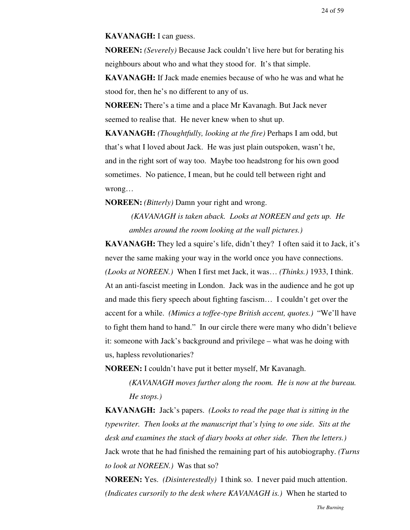#### **KAVANAGH:** I can guess.

**NOREEN:** *(Severely)* Because Jack couldn't live here but for berating his neighbours about who and what they stood for. It's that simple.

**KAVANAGH:** If Jack made enemies because of who he was and what he stood for, then he's no different to any of us.

**NOREEN:** There's a time and a place Mr Kavanagh. But Jack never seemed to realise that. He never knew when to shut up.

**KAVANAGH:** *(Thoughtfully, looking at the fire)* Perhaps I am odd, but that's what I loved about Jack. He was just plain outspoken, wasn't he, and in the right sort of way too. Maybe too headstrong for his own good sometimes. No patience, I mean, but he could tell between right and wrong…

**NOREEN:** *(Bitterly)* Damn your right and wrong.

 *(KAVANAGH is taken aback. Looks at NOREEN and gets up. He ambles around the room looking at the wall pictures.)*

**KAVANAGH:** They led a squire's life, didn't they? I often said it to Jack, it's never the same making your way in the world once you have connections. *(Looks at NOREEN.)* When I first met Jack, it was… *(Thinks.)* 1933, I think. At an anti-fascist meeting in London. Jack was in the audience and he got up and made this fiery speech about fighting fascism… I couldn't get over the accent for a while. *(Mimics a toffee-type British accent, quotes.)* "We'll have to fight them hand to hand." In our circle there were many who didn't believe it: someone with Jack's background and privilege – what was he doing with us, hapless revolutionaries?

**NOREEN:** I couldn't have put it better myself, Mr Kavanagh.

*(KAVANAGH moves further along the room. He is now at the bureau. He stops.)*

**KAVANAGH:** Jack's papers. *(Looks to read the page that is sitting in the typewriter. Then looks at the manuscript that's lying to one side. Sits at the desk and examines the stack of diary books at other side. Then the letters.)* Jack wrote that he had finished the remaining part of his autobiography. *(Turns to look at NOREEN.)* Was that so?

**NOREEN:** Yes. *(Disinterestedly)* I think so. I never paid much attention. *(Indicates cursorily to the desk where KAVANAGH is.)* When he started to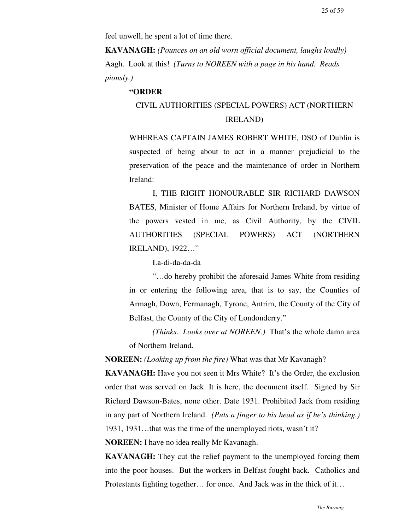feel unwell, he spent a lot of time there.

**KAVANAGH:** *(Pounces on an old worn official document, laughs loudly)* Aagh. Look at this! *(Turns to NOREEN with a page in his hand. Reads piously.)*

#### **"ORDER**

# CIVIL AUTHORITIES (SPECIAL POWERS) ACT (NORTHERN IRELAND)

WHEREAS CAPTAIN JAMES ROBERT WHITE, DSO of Dublin is suspected of being about to act in a manner prejudicial to the preservation of the peace and the maintenance of order in Northern Ireland:

I, THE RIGHT HONOURABLE SIR RICHARD DAWSON BATES, Minister of Home Affairs for Northern Ireland, by virtue of the powers vested in me, as Civil Authority, by the CIVIL AUTHORITIES (SPECIAL POWERS) ACT (NORTHERN IRELAND), 1922…"

La-di-da-da-da

"…do hereby prohibit the aforesaid James White from residing in or entering the following area, that is to say, the Counties of Armagh, Down, Fermanagh, Tyrone, Antrim, the County of the City of Belfast, the County of the City of Londonderry."

*(Thinks. Looks over at NOREEN.)* That's the whole damn area of Northern Ireland.

**NOREEN:** *(Looking up from the fire)* What was that Mr Kavanagh?

**KAVANAGH:** Have you not seen it Mrs White? It's the Order, the exclusion order that was served on Jack. It is here, the document itself. Signed by Sir Richard Dawson-Bates, none other. Date 1931. Prohibited Jack from residing in any part of Northern Ireland. *(Puts a finger to his head as if he's thinking.)* 1931, 1931…that was the time of the unemployed riots, wasn't it?

**NOREEN:** I have no idea really Mr Kavanagh.

**KAVANAGH:** They cut the relief payment to the unemployed forcing them into the poor houses. But the workers in Belfast fought back. Catholics and Protestants fighting together… for once. And Jack was in the thick of it…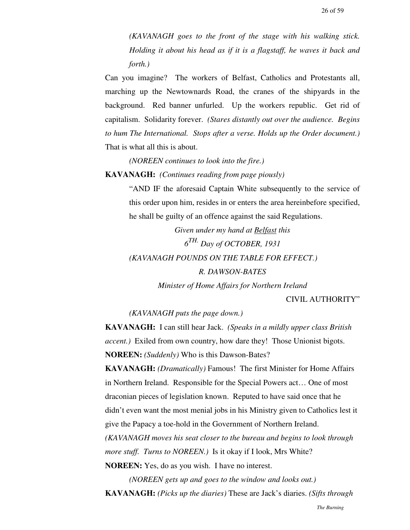*(KAVANAGH goes to the front of the stage with his walking stick. Holding it about his head as if it is a flagstaff, he waves it back and forth.)*

Can you imagine? The workers of Belfast, Catholics and Protestants all, marching up the Newtownards Road, the cranes of the shipyards in the background. Red banner unfurled. Up the workers republic. Get rid of capitalism. Solidarity forever. *(Stares distantly out over the audience. Begins to hum The International. Stops after a verse. Holds up the Order document.)* That is what all this is about.

*(NOREEN continues to look into the fire.)*

**KAVANAGH:** *(Continues reading from page piously)*

"AND IF the aforesaid Captain White subsequently to the service of this order upon him, resides in or enters the area hereinbefore specified, he shall be guilty of an offence against the said Regulations.

*Given under my hand at Belfast this 6 TH. Day of OCTOBER, 1931 (KAVANAGH POUNDS ON THE TABLE FOR EFFECT.)*

*R. DAWSON-BATES Minister of Home Affairs for Northern Ireland*

## CIVIL AUTHORITY"

### *(KAVANAGH puts the page down.)*

**KAVANAGH:** I can still hear Jack. *(Speaks in a mildly upper class British accent.)* Exiled from own country, how dare they! Those Unionist bigots. **NOREEN:** *(Suddenly)* Who is this Dawson-Bates?

**KAVANAGH:** *(Dramatically)* Famous! The first Minister for Home Affairs in Northern Ireland. Responsible for the Special Powers act… One of most draconian pieces of legislation known. Reputed to have said once that he didn't even want the most menial jobs in his Ministry given to Catholics lest it give the Papacy a toe-hold in the Government of Northern Ireland.

*(KAVANAGH moves his seat closer to the bureau and begins to look through more stuff. Turns to NOREEN.*) Is it okay if I look, Mrs White?

**NOREEN:** Yes, do as you wish. I have no interest.

*(NOREEN gets up and goes to the window and looks out.)* **KAVANAGH:** *(Picks up the diaries)* These are Jack's diaries. *(Sifts through*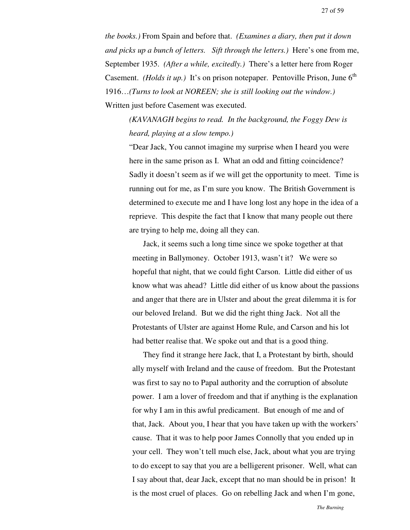*the books.)* From Spain and before that. *(Examines a diary, then put it down and picks up a bunch of letters. Sift through the letters.)* Here's one from me, September 1935. *(After a while, excitedly.)* There's a letter here from Roger Casement. *(Holds it up.)* It's on prison notepaper. Pentoville Prison, June  $6<sup>th</sup>$ 1916…*(Turns to look at NOREEN; she is still looking out the window.)* Written just before Casement was executed.

*(KAVANAGH begins to read. In the background, the Foggy Dew is heard, playing at a slow tempo.)*

"Dear Jack, You cannot imagine my surprise when I heard you were here in the same prison as I. What an odd and fitting coincidence? Sadly it doesn't seem as if we will get the opportunity to meet. Time is running out for me, as I'm sure you know. The British Government is determined to execute me and I have long lost any hope in the idea of a reprieve. This despite the fact that I know that many people out there are trying to help me, doing all they can.

Jack, it seems such a long time since we spoke together at that meeting in Ballymoney. October 1913, wasn't it? We were so hopeful that night, that we could fight Carson. Little did either of us know what was ahead? Little did either of us know about the passions and anger that there are in Ulster and about the great dilemma it is for our beloved Ireland. But we did the right thing Jack. Not all the Protestants of Ulster are against Home Rule, and Carson and his lot had better realise that. We spoke out and that is a good thing.

They find it strange here Jack, that I, a Protestant by birth, should ally myself with Ireland and the cause of freedom. But the Protestant was first to say no to Papal authority and the corruption of absolute power. I am a lover of freedom and that if anything is the explanation for why I am in this awful predicament. But enough of me and of that, Jack. About you, I hear that you have taken up with the workers' cause. That it was to help poor James Connolly that you ended up in your cell. They won't tell much else, Jack, about what you are trying to do except to say that you are a belligerent prisoner. Well, what can I say about that, dear Jack, except that no man should be in prison! It is the most cruel of places. Go on rebelling Jack and when I'm gone,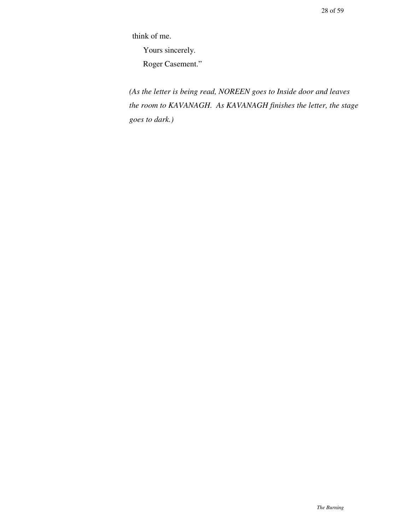think of me.

Yours sincerely.

Roger Casement."

*(As the letter is being read, NOREEN goes to Inside door and leaves the room to KAVANAGH. As KAVANAGH finishes the letter, the stage goes to dark.)*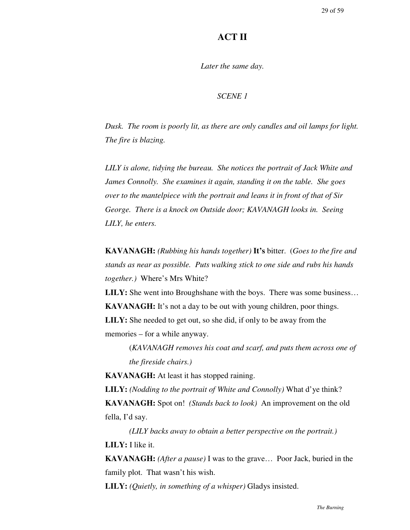# **ACT II**

*Later the same day.*

### *SCENE 1*

*Dusk. The room is poorly lit, as there are only candles and oil lamps for light. The fire is blazing.*

*LILY is alone, tidying the bureau. She notices the portrait of Jack White and James Connolly. She examines it again, standing it on the table. She goes over to the mantelpiece with the portrait and leans it in front of that of Sir George. There is a knock on Outside door; KAVANAGH looks in. Seeing LILY, he enters.*

**KAVANAGH:** *(Rubbing his hands together)* **It's** bitter. (*Goes to the fire and stands as near as possible. Puts walking stick to one side and rubs his hands together.)* Where's Mrs White?

**LILY:** She went into Broughshane with the boys. There was some business... **KAVANAGH:** It's not a day to be out with young children, poor things. **LILY:** She needed to get out, so she did, if only to be away from the memories – for a while anyway.

(*KAVANAGH removes his coat and scarf, and puts them across one of the fireside chairs.)*

**KAVANAGH:** At least it has stopped raining.

**LILY:** *(Nodding to the portrait of White and Connolly)* What d'ye think? **KAVANAGH:** Spot on! *(Stands back to look)* An improvement on the old fella, I'd say.

*(LILY backs away to obtain a better perspective on the portrait.)* **LILY:** I like it.

**KAVANAGH:** *(After a pause)* I was to the grave… Poor Jack, buried in the family plot. That wasn't his wish.

**LILY:** *(Quietly, in something of a whisper)* Gladys insisted.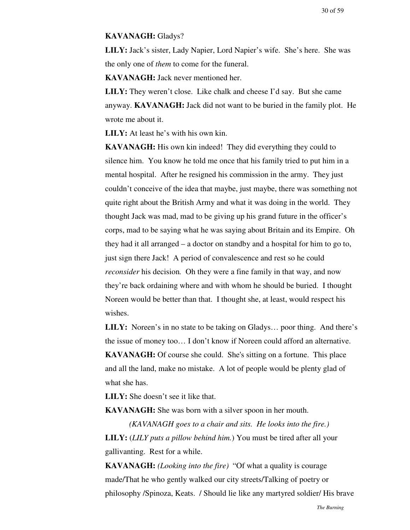#### **KAVANAGH:** Gladys?

**LILY:** Jack's sister, Lady Napier, Lord Napier's wife. She's here. She was the only one of *them* to come for the funeral.

**KAVANAGH:** Jack never mentioned her.

**LILY:** They weren't close. Like chalk and cheese I'd say. But she came anyway. **KAVANAGH:** Jack did not want to be buried in the family plot. He wrote me about it.

**LILY:** At least he's with his own kin.

**KAVANAGH:** His own kin indeed! They did everything they could to silence him. You know he told me once that his family tried to put him in a mental hospital. After he resigned his commission in the army. They just couldn't conceive of the idea that maybe, just maybe, there was something not quite right about the British Army and what it was doing in the world. They thought Jack was mad, mad to be giving up his grand future in the officer's corps, mad to be saying what he was saying about Britain and its Empire. Oh they had it all arranged – a doctor on standby and a hospital for him to go to, just sign there Jack! A period of convalescence and rest so he could *reconsider* his decision*.* Oh they were a fine family in that way, and now they're back ordaining where and with whom he should be buried. I thought Noreen would be better than that. I thought she, at least, would respect his wishes.

LILY: Noreen's in no state to be taking on Gladys... poor thing. And there's the issue of money too… I don't know if Noreen could afford an alternative. **KAVANAGH:** Of course she could. She's sitting on a fortune. This place and all the land, make no mistake. A lot of people would be plenty glad of what she has.

**LILY:** She doesn't see it like that.

**KAVANAGH:** She was born with a silver spoon in her mouth.

*(KAVANAGH goes to a chair and sits. He looks into the fire.)* **LILY:** (*LILY puts a pillow behind him.*) You must be tired after all your gallivanting. Rest for a while.

**KAVANAGH:** *(Looking into the fire)* "Of what a quality is courage made/That he who gently walked our city streets/Talking of poetry or philosophy /Spinoza, Keats. / Should lie like any martyred soldier/ His brave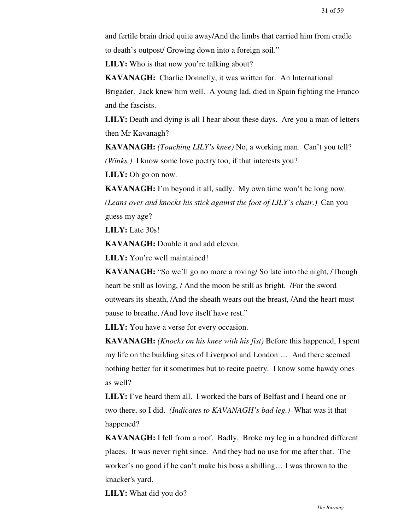and fertile brain dried quite away/And the limbs that carried him from cradle to death's outpost/ Growing down into a foreign soil."

**LILY:** Who is that now you're talking about?

**KAVANAGH:** Charlie Donnelly, it was written for. An International Brigader. Jack knew him well. A young lad, died in Spain fighting the Franco and the fascists.

**LILY:** Death and dying is all I hear about these days. Are you a man of letters then Mr Kavanagh?

**KAVANAGH:** *(Touching LILY's knee)* No, a working man. Can't you tell? *(Winks.)* I know some love poetry too, if that interests you?

**LILY:** Oh go on now.

**KAVANAGH:** I'm beyond it all, sadly. My own time won't be long now. *(Leans over and knocks his stick against the foot of LILY's chair.)* Can you guess my age?

**LILY:** Late 30s!

**KAVANAGH:** Double it and add eleven.

**LILY:** You're well maintained!

**KAVANAGH:** "So we'll go no more a roving/ So late into the night, /Though heart be still as loving, / And the moon be still as bright. /For the sword outwears its sheath, /And the sheath wears out the breast, /And the heart must pause to breathe, /And love itself have rest."

**LILY:** You have a verse for every occasion.

**KAVANAGH:** *(Knocks on his knee with his fist)* Before this happened, I spent my life on the building sites of Liverpool and London … And there seemed nothing better for it sometimes but to recite poetry. I know some bawdy ones as well?

**LILY:** I've heard them all. I worked the bars of Belfast and I heard one or two there, so I did. *(Indicates to KAVANAGH's bad leg.)* What was it that happened?

**KAVANAGH:** I fell from a roof. Badly. Broke my leg in a hundred different places. It was never right since. And they had no use for me after that. The worker's no good if he can't make his boss a shilling… I was thrown to the knacker's yard.

**LILY:** What did you do?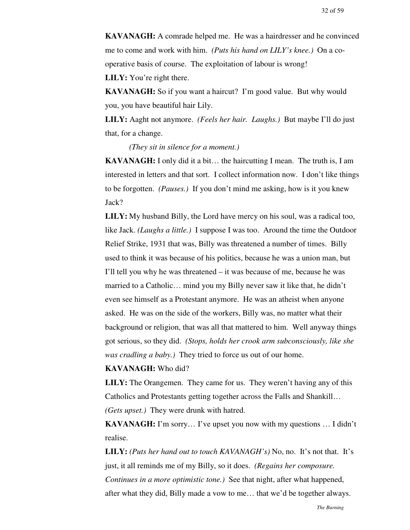**KAVANAGH:** A comrade helped me. He was a hairdresser and he convinced me to come and work with him. *(Puts his hand on LILY's knee.)* On a cooperative basis of course. The exploitation of labour is wrong!

**LILY:** You're right there.

**KAVANAGH:** So if you want a haircut? I'm good value. But why would you, you have beautiful hair Lily.

**LILY:** Aaght not anymore. *(Feels her hair. Laughs.)* But maybe I'll do just that, for a change.

*(They sit in silence for a moment.)*

**KAVANAGH:** I only did it a bit… the haircutting I mean. The truth is, I am interested in letters and that sort. I collect information now. I don't like things to be forgotten. *(Pauses.)* If you don't mind me asking, how is it you knew Jack?

**LILY:** My husband Billy, the Lord have mercy on his soul, was a radical too, like Jack. *(Laughs a little.)* I suppose I was too. Around the time the Outdoor Relief Strike, 1931 that was, Billy was threatened a number of times. Billy used to think it was because of his politics, because he was a union man, but I'll tell you why he was threatened – it was because of me, because he was married to a Catholic… mind you my Billy never saw it like that, he didn't even see himself as a Protestant anymore. He was an atheist when anyone asked. He was on the side of the workers, Billy was, no matter what their background or religion, that was all that mattered to him. Well anyway things got serious, so they did. *(Stops, holds her crook arm subconsciously, like she was cradling a baby.)* They tried to force us out of our home.

#### **KAVANAGH:** Who did?

**LILY:** The Orangemen. They came for us. They weren't having any of this Catholics and Protestants getting together across the Falls and Shankill… *(Gets upset.)* They were drunk with hatred.

**KAVANAGH:** I'm sorry… I've upset you now with my questions … I didn't realise.

**LILY:** *(Puts her hand out to touch KAVANAGH's)* No, no. It's not that. It's just, it all reminds me of my Billy, so it does. *(Regains her composure. Continues in a more optimistic tone.)* See that night, after what happened, after what they did, Billy made a vow to me… that we'd be together always.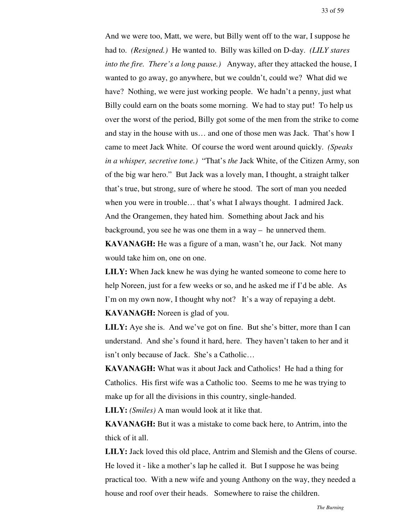And we were too, Matt, we were, but Billy went off to the war, I suppose he had to. *(Resigned.)* He wanted to. Billy was killed on D-day. *(LILY stares into the fire. There's a long pause.)* Anyway, after they attacked the house, I wanted to go away, go anywhere, but we couldn't, could we? What did we have? Nothing, we were just working people. We hadn't a penny, just what Billy could earn on the boats some morning. We had to stay put! To help us over the worst of the period, Billy got some of the men from the strike to come and stay in the house with us… and one of those men was Jack. That's how I came to meet Jack White. Of course the word went around quickly. *(Speaks in a whisper, secretive tone.)* "That's *the* Jack White, of the Citizen Army, son of the big war hero." But Jack was a lovely man, I thought, a straight talker that's true, but strong, sure of where he stood. The sort of man you needed when you were in trouble… that's what I always thought. I admired Jack. And the Orangemen, they hated him. Something about Jack and his background, you see he was one them in a way – he unnerved them. **KAVANAGH:** He was a figure of a man, wasn't he, our Jack. Not many

would take him on, one on one.

**LILY:** When Jack knew he was dying he wanted someone to come here to help Noreen, just for a few weeks or so, and he asked me if I'd be able. As I'm on my own now, I thought why not? It's a way of repaying a debt. **KAVANAGH:** Noreen is glad of you.

**LILY:** Aye she is. And we've got on fine. But she's bitter, more than I can understand. And she's found it hard, here. They haven't taken to her and it isn't only because of Jack. She's a Catholic…

**KAVANAGH:** What was it about Jack and Catholics! He had a thing for Catholics. His first wife was a Catholic too. Seems to me he was trying to make up for all the divisions in this country, single-handed.

**LILY:** *(Smiles)* A man would look at it like that.

**KAVANAGH:** But it was a mistake to come back here, to Antrim, into the thick of it all.

**LILY:** Jack loved this old place, Antrim and Slemish and the Glens of course. He loved it - like a mother's lap he called it. But I suppose he was being practical too. With a new wife and young Anthony on the way, they needed a house and roof over their heads. Somewhere to raise the children.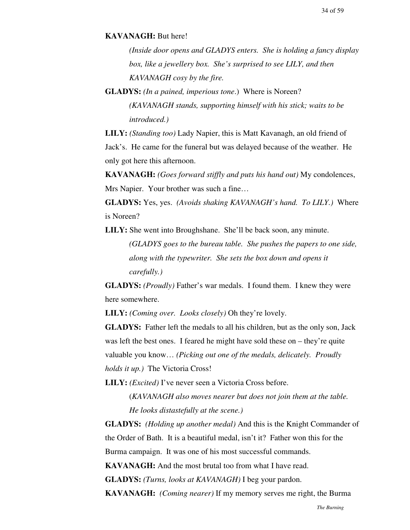#### **KAVANAGH:** But here!

*(Inside door opens and GLADYS enters. She is holding a fancy display box, like a jewellery box. She's surprised to see LILY, and then KAVANAGH cosy by the fire.*

**GLADYS:** *(In a pained, imperious tone*.) Where is Noreen? *(KAVANAGH stands, supporting himself with his stick; waits to be introduced.)*

**LILY:** *(Standing too)* Lady Napier, this is Matt Kavanagh, an old friend of Jack's. He came for the funeral but was delayed because of the weather. He only got here this afternoon.

**KAVANAGH:** *(Goes forward stiffly and puts his hand out)* My condolences, Mrs Napier. Your brother was such a fine…

**GLADYS:** Yes, yes. *(Avoids shaking KAVANAGH's hand. To LILY.)* Where is Noreen?

**LILY:** She went into Broughshane. She'll be back soon, any minute.

*(GLADYS goes to the bureau table. She pushes the papers to one side, along with the typewriter. She sets the box down and opens it carefully.)*

**GLADYS:** *(Proudly)* Father's war medals. I found them. I knew they were here somewhere.

**LILY:** *(Coming over. Looks closely)* Oh they're lovely.

**GLADYS:** Father left the medals to all his children, but as the only son, Jack was left the best ones. I feared he might have sold these on – they're quite valuable you know… *(Picking out one of the medals, delicately. Proudly holds it up.)* The Victoria Cross!

**LILY:** *(Excited)* I've never seen a Victoria Cross before.

(*KAVANAGH also moves nearer but does not join them at the table. He looks distastefully at the scene.)*

**GLADYS:** *(Holding up another medal)* And this is the Knight Commander of the Order of Bath. It is a beautiful medal, isn't it? Father won this for the Burma campaign. It was one of his most successful commands.

**KAVANAGH:** And the most brutal too from what I have read.

**GLADYS:** *(Turns, looks at KAVANAGH)* I beg your pardon.

**KAVANAGH:** *(Coming nearer)* If my memory serves me right, the Burma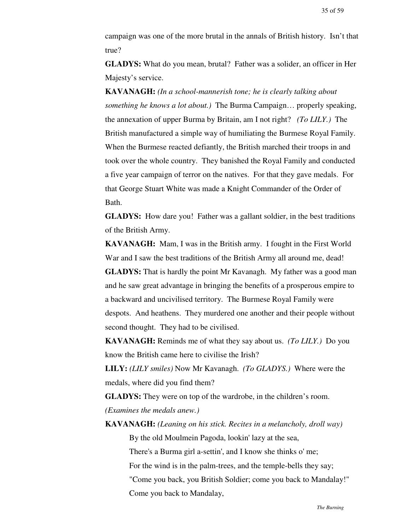campaign was one of the more brutal in the annals of British history. Isn't that true?

**GLADYS:** What do you mean, brutal? Father was a solider, an officer in Her Majesty's service.

**KAVANAGH:** *(In a school-mannerish tone; he is clearly talking about something he knows a lot about.)* The Burma Campaign… properly speaking, the annexation of upper Burma by Britain, am I not right? *(To LILY.)* The British manufactured a simple way of humiliating the Burmese Royal Family. When the Burmese reacted defiantly, the British marched their troops in and took over the whole country. They banished the Royal Family and conducted a five year campaign of terror on the natives. For that they gave medals. For that George Stuart White was made a Knight Commander of the Order of Bath.

**GLADYS:** How dare you! Father was a gallant soldier, in the best traditions of the British Army.

**KAVANAGH:** Mam, I was in the British army. I fought in the First World War and I saw the best traditions of the British Army all around me, dead! **GLADYS:** That is hardly the point Mr Kavanagh. My father was a good man and he saw great advantage in bringing the benefits of a prosperous empire to a backward and uncivilised territory. The Burmese Royal Family were despots. And heathens. They murdered one another and their people without second thought. They had to be civilised.

**KAVANAGH:** Reminds me of what they say about us. *(To LILY.)* Do you know the British came here to civilise the Irish?

**LILY:** *(LILY smiles)* Now Mr Kavanagh. *(To GLADYS.)* Where were the medals, where did you find them?

**GLADYS:** They were on top of the wardrobe, in the children's room. *(Examines the medals anew.)*

**KAVANAGH:** *(Leaning on his stick. Recites in a melancholy, droll way)*

By the old Moulmein Pagoda, lookin' lazy at the sea,

There's a Burma girl a-settin', and I know she thinks o' me;

For the wind is in the palm-trees, and the temple-bells they say;

"Come you back, you British Soldier; come you back to Mandalay!" Come you back to Mandalay,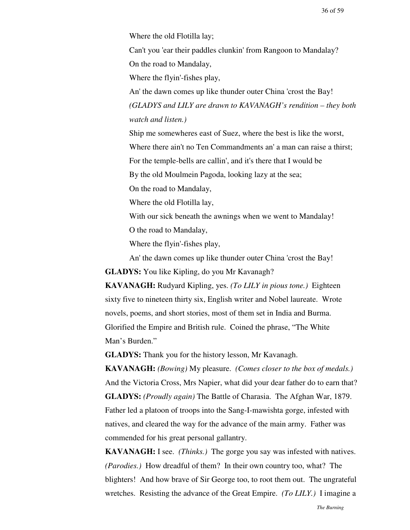Where the old Flotilla lay;

Can't you 'ear their paddles clunkin' from Rangoon to Mandalay? On the road to Mandalay,

Where the flyin'-fishes play,

An' the dawn comes up like thunder outer China 'crost the Bay! *(GLADYS and LILY are drawn to KAVANAGH's rendition – they both watch and listen.)*

Ship me somewheres east of Suez, where the best is like the worst, Where there ain't no Ten Commandments an' a man can raise a thirst; For the temple-bells are callin', and it's there that I would be By the old Moulmein Pagoda, looking lazy at the sea;

On the road to Mandalay,

Where the old Flotilla lay,

With our sick beneath the awnings when we went to Mandalay!

O the road to Mandalay,

Where the flyin'-fishes play,

An' the dawn comes up like thunder outer China 'crost the Bay! **GLADYS:** You like Kipling, do you Mr Kavanagh?

**KAVANAGH:** Rudyard Kipling, yes. *(To LILY in pious tone.)* Eighteen sixty five to nineteen thirty six, English writer and Nobel laureate. Wrote novels, poems, and short stories, most of them set in India and Burma. Glorified the Empire and British rule. Coined the phrase, "The White Man's Burden."

**GLADYS:** Thank you for the history lesson, Mr Kavanagh.

**KAVANAGH:** *(Bowing)* My pleasure. *(Comes closer to the box of medals.)* And the Victoria Cross, Mrs Napier, what did your dear father do to earn that? **GLADYS:** *(Proudly again)* The Battle of Charasia. The Afghan War, 1879. Father led a platoon of troops into the Sang-I-mawishta gorge, infested with natives, and cleared the way for the advance of the main army. Father was commended for his great personal gallantry.

**KAVANAGH:** I see. *(Thinks.)* The gorge you say was infested with natives. *(Parodies.)* How dreadful of them? In their own country too, what? The blighters! And how brave of Sir George too, to root them out. The ungrateful wretches. Resisting the advance of the Great Empire. *(To LILY.)* I imagine a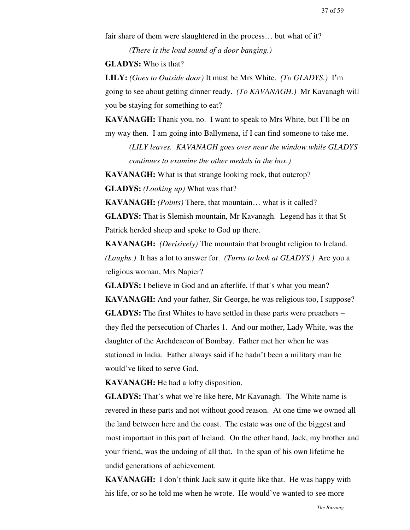fair share of them were slaughtered in the process… but what of it?

*(There is the loud sound of a door banging.)*

**GLADYS:** Who is that?

**LILY:** *(Goes to Outside door)* It must be Mrs White. *(To GLADYS.)* I**'**m going to see about getting dinner ready. *(To KAVANAGH.)* Mr Kavanagh will you be staying for something to eat?

**KAVANAGH:** Thank you, no. I want to speak to Mrs White, but I'll be on my way then. I am going into Ballymena, if I can find someone to take me.

*(LILY leaves. KAVANAGH goes over near the window while GLADYS continues to examine the other medals in the box.)*

**KAVANAGH:** What is that strange looking rock, that outcrop?

**GLADYS:** *(Looking up)* What was that?

**KAVANAGH:** *(Points)* There, that mountain… what is it called?

**GLADYS:** That is Slemish mountain, Mr Kavanagh. Legend has it that St Patrick herded sheep and spoke to God up there.

**KAVANAGH:** *(Derisively)* The mountain that brought religion to Ireland. *(Laughs.)* It has a lot to answer for. *(Turns to look at GLADYS.)* Are you a religious woman, Mrs Napier?

**GLADYS:** I believe in God and an afterlife, if that's what you mean? **KAVANAGH:** And your father, Sir George, he was religious too, I suppose? **GLADYS:** The first Whites to have settled in these parts were preachers – they fled the persecution of Charles 1. And our mother, Lady White, was the daughter of the Archdeacon of Bombay. Father met her when he was stationed in India. Father always said if he hadn't been a military man he would've liked to serve God.

**KAVANAGH:** He had a lofty disposition.

**GLADYS:** That's what we're like here, Mr Kavanagh. The White name is revered in these parts and not without good reason. At one time we owned all the land between here and the coast. The estate was one of the biggest and most important in this part of Ireland. On the other hand, Jack, my brother and your friend, was the undoing of all that. In the span of his own lifetime he undid generations of achievement.

**KAVANAGH:** I don't think Jack saw it quite like that. He was happy with his life, or so he told me when he wrote. He would've wanted to see more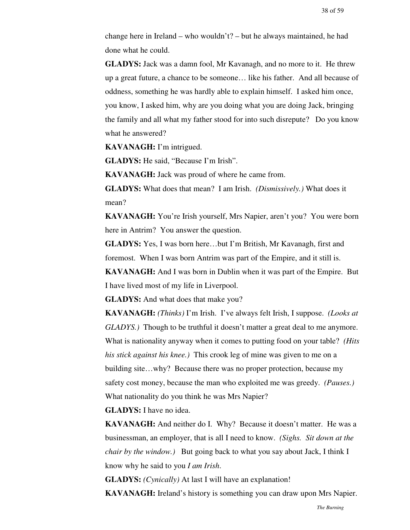change here in Ireland – who wouldn't? – but he always maintained, he had done what he could.

**GLADYS:** Jack was a damn fool, Mr Kavanagh, and no more to it. He threw up a great future, a chance to be someone… like his father. And all because of oddness, something he was hardly able to explain himself. I asked him once, you know, I asked him, why are you doing what you are doing Jack, bringing the family and all what my father stood for into such disrepute? Do you know what he answered?

**KAVANAGH:** I'm intrigued.

**GLADYS:** He said, "Because I'm Irish".

**KAVANAGH:** Jack was proud of where he came from.

**GLADYS:** What does that mean? I am Irish. *(Dismissively.)* What does it mean?

**KAVANAGH:** You're Irish yourself, Mrs Napier, aren't you? You were born here in Antrim? You answer the question.

**GLADYS:** Yes, I was born here…but I'm British, Mr Kavanagh, first and foremost. When I was born Antrim was part of the Empire, and it still is.

**KAVANAGH:** And I was born in Dublin when it was part of the Empire. But I have lived most of my life in Liverpool.

**GLADYS:** And what does that make you?

**KAVANAGH:** *(Thinks)* I'm Irish. I've always felt Irish, I suppose. *(Looks at GLADYS.)* Though to be truthful it doesn't matter a great deal to me anymore. What is nationality anyway when it comes to putting food on your table? *(Hits his stick against his knee.)* This crook leg of mine was given to me on a building site…why? Because there was no proper protection, because my safety cost money, because the man who exploited me was greedy. *(Pauses.)* What nationality do you think he was Mrs Napier?

**GLADYS:** I have no idea.

**KAVANAGH:** And neither do I. Why? Because it doesn't matter. He was a businessman, an employer, that is all I need to know. *(Sighs. Sit down at the chair by the window.)* But going back to what you say about Jack, I think I know why he said to you *I am Irish*.

**GLADYS:** *(Cynically)* At last I will have an explanation!

**KAVANAGH:** Ireland's history is something you can draw upon Mrs Napier.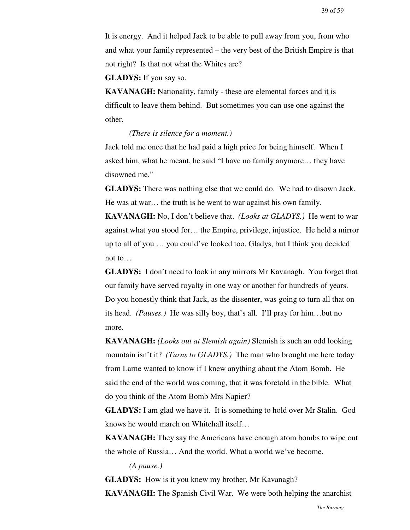It is energy. And it helped Jack to be able to pull away from you, from who and what your family represented – the very best of the British Empire is that not right? Is that not what the Whites are?

**GLADYS:** If you say so.

**KAVANAGH:** Nationality, family - these are elemental forces and it is difficult to leave them behind. But sometimes you can use one against the other.

*(There is silence for a moment.)*

Jack told me once that he had paid a high price for being himself. When I asked him, what he meant, he said "I have no family anymore… they have disowned me."

**GLADYS:** There was nothing else that we could do. We had to disown Jack. He was at war… the truth is he went to war against his own family.

**KAVANAGH:** No, I don't believe that. *(Looks at GLADYS.)* He went to war against what you stood for… the Empire, privilege, injustice. He held a mirror up to all of you … you could've looked too, Gladys, but I think you decided not to…

**GLADYS:** I don't need to look in any mirrors Mr Kavanagh. You forget that our family have served royalty in one way or another for hundreds of years. Do you honestly think that Jack, as the dissenter, was going to turn all that on its head. *(Pauses.)* He was silly boy, that's all. I'll pray for him…but no more.

**KAVANAGH:** *(Looks out at Slemish again)* Slemish is such an odd looking mountain isn't it? *(Turns to GLADYS.)* The man who brought me here today from Larne wanted to know if I knew anything about the Atom Bomb. He said the end of the world was coming, that it was foretold in the bible. What do you think of the Atom Bomb Mrs Napier?

**GLADYS:** I am glad we have it. It is something to hold over Mr Stalin. God knows he would march on Whitehall itself…

**KAVANAGH:** They say the Americans have enough atom bombs to wipe out the whole of Russia… And the world. What a world we've become.

*(A pause.)*

**GLADYS:** How is it you knew my brother, Mr Kavanagh?

**KAVANAGH:** The Spanish Civil War. We were both helping the anarchist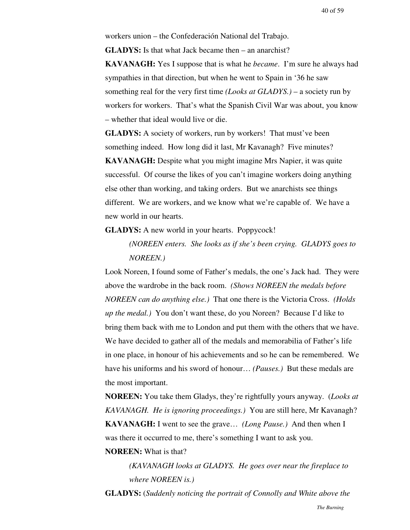workers union – the Confederación National del Trabajo.

**GLADYS:** Is that what Jack became then – an anarchist?

**KAVANAGH:** Yes I suppose that is what he *became*. I'm sure he always had sympathies in that direction, but when he went to Spain in '36 he saw something real for the very first time *(Looks at GLADYS.)* – a society run by workers for workers. That's what the Spanish Civil War was about, you know – whether that ideal would live or die.

**GLADYS:** A society of workers, run by workers! That must've been something indeed. How long did it last, Mr Kavanagh? Five minutes? **KAVANAGH:** Despite what you might imagine Mrs Napier, it was quite successful. Of course the likes of you can't imagine workers doing anything else other than working, and taking orders. But we anarchists see things

different. We are workers, and we know what we're capable of. We have a new world in our hearts.

**GLADYS:** A new world in your hearts. Poppycock!

*(NOREEN enters. She looks as if she's been crying. GLADYS goes to NOREEN.)*

Look Noreen, I found some of Father's medals, the one's Jack had. They were above the wardrobe in the back room. *(Shows NOREEN the medals before NOREEN can do anything else.)* That one there is the Victoria Cross. *(Holds up the medal.)* You don't want these, do you Noreen? Because I'd like to bring them back with me to London and put them with the others that we have. We have decided to gather all of the medals and memorabilia of Father's life in one place, in honour of his achievements and so he can be remembered. We have his uniforms and his sword of honour… *(Pauses.)* But these medals are the most important.

**NOREEN:** You take them Gladys, they're rightfully yours anyway. (*Looks at KAVANAGH. He is ignoring proceedings.)* You are still here, Mr Kavanagh? **KAVANAGH:** I went to see the grave… *(Long Pause.)* And then when I was there it occurred to me, there's something I want to ask you.

**NOREEN:** What is that?

*(KAVANAGH looks at GLADYS. He goes over near the fireplace to where NOREEN is.)*

**GLADYS:** (*Suddenly noticing the portrait of Connolly and White above the*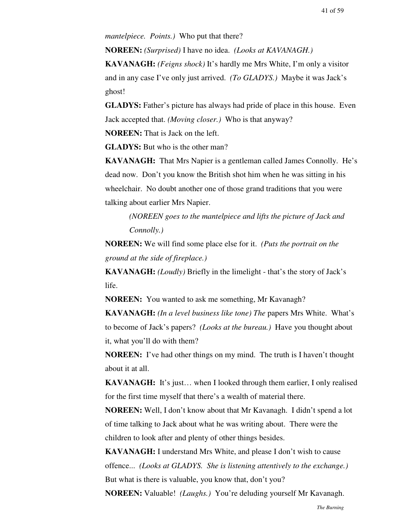*mantelpiece. Points.)* Who put that there?

**NOREEN:** *(Surprised)* I have no idea. *(Looks at KAVANAGH.)*

**KAVANAGH:** *(Feigns shock)* It's hardly me Mrs White, I'm only a visitor and in any case I've only just arrived. *(To GLADYS.)* Maybe it was Jack's ghost!

**GLADYS:** Father's picture has always had pride of place in this house. Even Jack accepted that. *(Moving closer.)* Who is that anyway?

**NOREEN:** That is Jack on the left.

**GLADYS:** But who is the other man?

**KAVANAGH:** That Mrs Napier is a gentleman called James Connolly. He's dead now. Don't you know the British shot him when he was sitting in his wheelchair. No doubt another one of those grand traditions that you were talking about earlier Mrs Napier.

*(NOREEN goes to the mantelpiece and lifts the picture of Jack and Connolly.)*

**NOREEN:** We will find some place else for it. *(Puts the portrait on the ground at the side of fireplace.)*

**KAVANAGH:** *(Loudly)* Briefly in the limelight - that's the story of Jack's life.

**NOREEN:** You wanted to ask me something, Mr Kavanagh?

**KAVANAGH:** *(In a level business like tone) The* papers Mrs White. What's to become of Jack's papers? *(Looks at the bureau.)* Have you thought about it, what you'll do with them?

**NOREEN:** I've had other things on my mind. The truth is I haven't thought about it at all.

**KAVANAGH:** It's just... when I looked through them earlier, I only realised for the first time myself that there's a wealth of material there.

**NOREEN:** Well, I don't know about that Mr Kavanagh. I didn't spend a lot of time talking to Jack about what he was writing about. There were the children to look after and plenty of other things besides.

**KAVANAGH:** I understand Mrs White, and please I don't wish to cause offence... *(Looks at GLADYS. She is listening attentively to the exchange.)* But what is there is valuable, you know that, don't you?

**NOREEN:** Valuable! *(Laughs.)* You're deluding yourself Mr Kavanagh.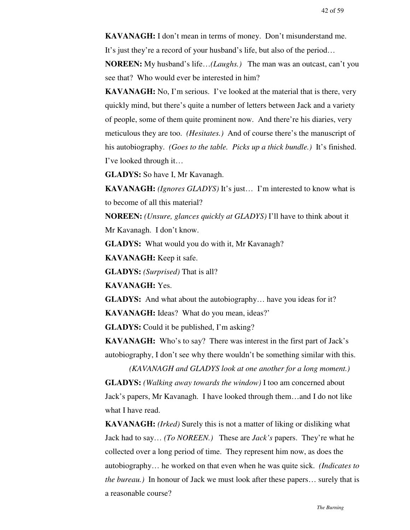**KAVANAGH:** I don't mean in terms of money. Don't misunderstand me. It's just they're a record of your husband's life, but also of the period… **NOREEN:** My husband's life…*(Laughs.)* The man was an outcast, can't you

see that? Who would ever be interested in him?

**KAVANAGH:** No, I'm serious. I've looked at the material that is there, very quickly mind, but there's quite a number of letters between Jack and a variety of people, some of them quite prominent now. And there're his diaries, very meticulous they are too. *(Hesitates.)* And of course there's the manuscript of his autobiography. *(Goes to the table. Picks up a thick bundle.)* It's finished. I've looked through it…

**GLADYS:** So have I, Mr Kavanagh.

**KAVANAGH:** *(Ignores GLADYS)* It's just… I'm interested to know what is to become of all this material?

**NOREEN:** *(Unsure, glances quickly at GLADYS)* I'll have to think about it

Mr Kavanagh. I don't know.

**GLADYS:** What would you do with it, Mr Kavanagh?

**KAVANAGH:** Keep it safe.

**GLADYS:** *(Surprised)* That is all?

**KAVANAGH:** Yes.

**GLADYS:** And what about the autobiography… have you ideas for it? **KAVANAGH:** Ideas? What do you mean, ideas?'

**GLADYS:** Could it be published, I'm asking?

**KAVANAGH:** Who's to say? There was interest in the first part of Jack's autobiography, I don't see why there wouldn't be something similar with this.

*(KAVANAGH and GLADYS look at one another for a long moment.)* **GLADYS:** *(Walking away towards the window)* I too am concerned about Jack's papers, Mr Kavanagh. I have looked through them…and I do not like what I have read.

**KAVANAGH:** *(Irked)* Surely this is not a matter of liking or disliking what Jack had to say… *(To NOREEN.)* These are *Jack's* papers. They're what he collected over a long period of time. They represent him now, as does the autobiography… he worked on that even when he was quite sick. *(Indicates to the bureau.)* In honour of Jack we must look after these papers… surely that is a reasonable course?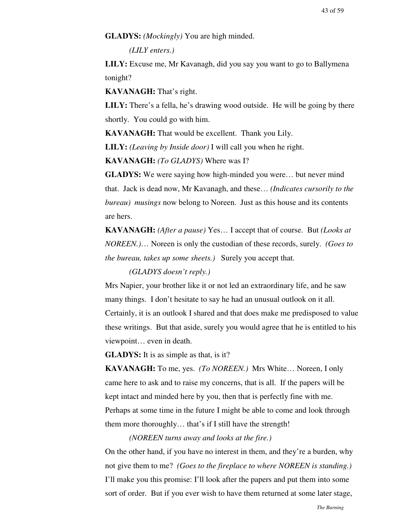#### **GLADYS:** *(Mockingly)* You are high minded.

*(LILY enters.)*

**LILY:** Excuse me, Mr Kavanagh, did you say you want to go to Ballymena tonight?

**KAVANAGH:** That's right.

**LILY:** There's a fella, he's drawing wood outside. He will be going by there shortly. You could go with him.

**KAVANAGH:** That would be excellent. Thank you Lily.

**LILY:** *(Leaving by Inside door)* I will call you when he right.

**KAVANAGH:** *(To GLADYS)* Where was I?

**GLADYS:** We were saying how high-minded you were… but never mind that. Jack is dead now, Mr Kavanagh, and these… *(Indicates cursorily to the bureau) musings* now belong to Noreen. Just as this house and its contents are hers.

**KAVANAGH:** *(After a pause)* Yes… I accept that of course. But *(Looks at NOREEN.)*… Noreen is only the custodian of these records, surely. *(Goes to the bureau, takes up some sheets.)* Surely you accept that.

# *(GLADYS doesn't reply.)*

Mrs Napier, your brother like it or not led an extraordinary life, and he saw many things. I don't hesitate to say he had an unusual outlook on it all. Certainly, it is an outlook I shared and that does make me predisposed to value these writings. But that aside, surely you would agree that he is entitled to his viewpoint… even in death.

**GLADYS:** It is as simple as that, is it?

**KAVANAGH:** To me, yes. *(To NOREEN.)* Mrs White… Noreen, I only came here to ask and to raise my concerns, that is all. If the papers will be kept intact and minded here by you, then that is perfectly fine with me. Perhaps at some time in the future I might be able to come and look through them more thoroughly… that's if I still have the strength!

*(NOREEN turns away and looks at the fire.)*

On the other hand, if you have no interest in them, and they're a burden, why not give them to me? *(Goes to the fireplace to where NOREEN is standing.)* I'll make you this promise: I'll look after the papers and put them into some sort of order. But if you ever wish to have them returned at some later stage,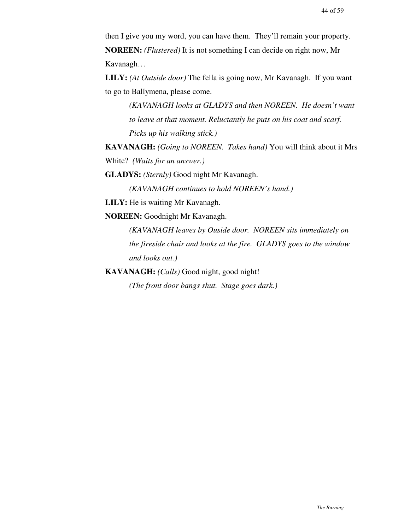then I give you my word, you can have them. They'll remain your property. **NOREEN:** *(Flustered)* It is not something I can decide on right now, Mr Kavanagh…

**LILY:** *(At Outside door)* The fella is going now, Mr Kavanagh. If you want to go to Ballymena, please come.

*(KAVANAGH looks at GLADYS and then NOREEN. He doesn't want to leave at that moment. Reluctantly he puts on his coat and scarf. Picks up his walking stick.)*

**KAVANAGH:** *(Going to NOREEN. Takes hand)* You will think about it Mrs White? *(Waits for an answer.)*

**GLADYS:** *(Sternly)* Good night Mr Kavanagh.

*(KAVANAGH continues to hold NOREEN's hand.)*

**LILY:** He is waiting Mr Kavanagh.

**NOREEN:** Goodnight Mr Kavanagh.

*(KAVANAGH leaves by Ouside door. NOREEN sits immediately on the fireside chair and looks at the fire. GLADYS goes to the window and looks out.)*

**KAVANAGH:** *(Calls)* Good night, good night!

*(The front door bangs shut. Stage goes dark.)*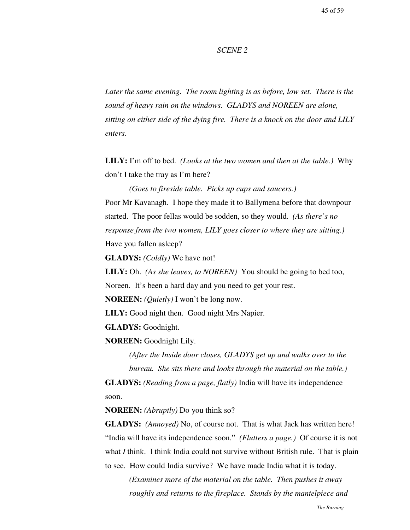#### *SCENE 2*

*Later the same evening. The room lighting is as before, low set. There is the sound of heavy rain on the windows. GLADYS and NOREEN are alone, sitting on either side of the dying fire. There is a knock on the door and LILY enters.*

**LILY:** I'm off to bed. *(Looks at the two women and then at the table.)* Why don't I take the tray as I'm here?

*(Goes to fireside table. Picks up cups and saucers.)* Poor Mr Kavanagh. I hope they made it to Ballymena before that downpour started. The poor fellas would be sodden, so they would. *(As there's no response from the two women, LILY goes closer to where they are sitting.)* Have you fallen asleep?

**GLADYS:** *(Coldly)* We have not!

**LILY:** Oh. *(As she leaves, to NOREEN)* You should be going to bed too, Noreen. It's been a hard day and you need to get your rest.

**NOREEN:** *(Quietly)* I won't be long now.

**LILY:** Good night then. Good night Mrs Napier.

**GLADYS:** Goodnight.

**NOREEN:** Goodnight Lily.

*(After the Inside door closes, GLADYS get up and walks over to the bureau. She sits there and looks through the material on the table.)*

**GLADYS:** *(Reading from a page, flatly)* India will have its independence soon.

**NOREEN:** *(Abruptly)* Do you think so?

**GLADYS:** *(Annoyed)* No, of course not. That is what Jack has written here! "India will have its independence soon." *(Flutters a page.)* Of course it is not what *I* think. I think India could not survive without British rule. That is plain to see. How could India survive? We have made India what it is today.

*(Examines more of the material on the table. Then pushes it away roughly and returns to the fireplace. Stands by the mantelpiece and*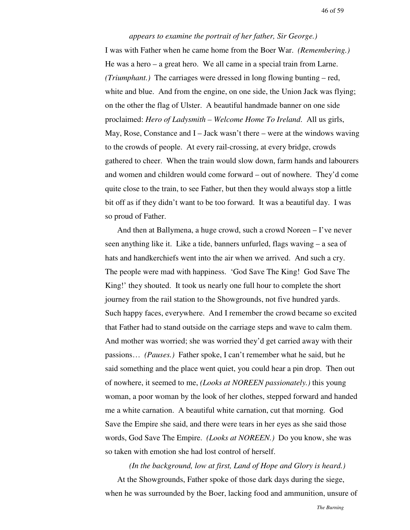46 of 59

#### *appears to examine the portrait of her father, Sir George.)*

I was with Father when he came home from the Boer War. *(Remembering.)* He was a hero – a great hero. We all came in a special train from Larne. *(Triumphant.)* The carriages were dressed in long flowing bunting – red, white and blue. And from the engine, on one side, the Union Jack was flying; on the other the flag of Ulster. A beautiful handmade banner on one side proclaimed: *Hero of Ladysmith – Welcome Home To Ireland*. All us girls, May, Rose, Constance and  $I - Jack$  wasn't there – were at the windows waving to the crowds of people. At every rail-crossing, at every bridge, crowds gathered to cheer. When the train would slow down, farm hands and labourers and women and children would come forward – out of nowhere. They'd come quite close to the train, to see Father, but then they would always stop a little bit off as if they didn't want to be too forward. It was a beautiful day. I was so proud of Father.

And then at Ballymena, a huge crowd, such a crowd Noreen – I've never seen anything like it. Like a tide, banners unfurled, flags waving – a sea of hats and handkerchiefs went into the air when we arrived. And such a cry. The people were mad with happiness. 'God Save The King! God Save The King!' they shouted. It took us nearly one full hour to complete the short journey from the rail station to the Showgrounds, not five hundred yards. Such happy faces, everywhere. And I remember the crowd became so excited that Father had to stand outside on the carriage steps and wave to calm them. And mother was worried; she was worried they'd get carried away with their passions… *(Pauses.)* Father spoke, I can't remember what he said, but he said something and the place went quiet, you could hear a pin drop. Then out of nowhere, it seemed to me, *(Looks at NOREEN passionately.)* this young woman, a poor woman by the look of her clothes, stepped forward and handed me a white carnation. A beautiful white carnation, cut that morning. God Save the Empire she said, and there were tears in her eyes as she said those words, God Save The Empire. *(Looks at NOREEN.)* Do you know, she was so taken with emotion she had lost control of herself.

*(In the background, low at first, Land of Hope and Glory is heard.)* At the Showgrounds, Father spoke of those dark days during the siege, when he was surrounded by the Boer, lacking food and ammunition, unsure of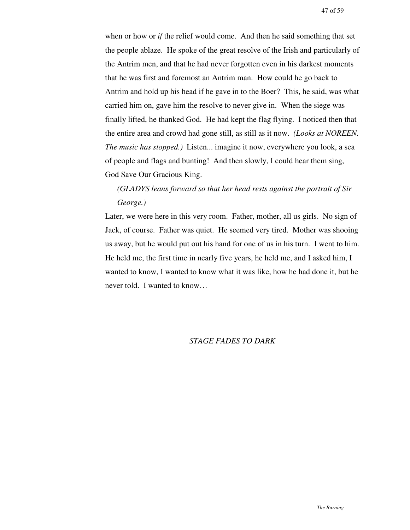when or how or *if* the relief would come. And then he said something that set the people ablaze. He spoke of the great resolve of the Irish and particularly of the Antrim men, and that he had never forgotten even in his darkest moments that he was first and foremost an Antrim man. How could he go back to Antrim and hold up his head if he gave in to the Boer? This, he said, was what carried him on, gave him the resolve to never give in. When the siege was finally lifted, he thanked God. He had kept the flag flying. I noticed then that the entire area and crowd had gone still, as still as it now. *(Looks at NOREEN. The music has stopped.)* Listen... imagine it now, everywhere you look, a sea of people and flags and bunting! And then slowly, I could hear them sing, God Save Our Gracious King.

# *(GLADYS leans forward so that her head rests against the portrait of Sir George.)*

Later, we were here in this very room. Father, mother, all us girls. No sign of Jack, of course. Father was quiet. He seemed very tired. Mother was shooing us away, but he would put out his hand for one of us in his turn. I went to him. He held me, the first time in nearly five years, he held me, and I asked him, I wanted to know, I wanted to know what it was like, how he had done it, but he never told. I wanted to know…

### *STAGE FADES TO DARK*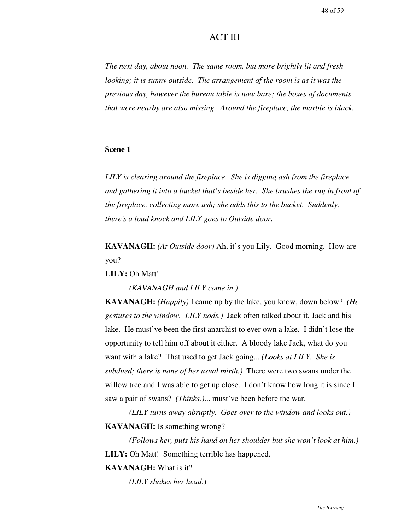# ACT III

*The next day, about noon. The same room, but more brightly lit and fresh looking; it is sunny outside. The arrangement of the room is as it was the previous day, however the bureau table is now bare; the boxes of documents that were nearby are also missing. Around the fireplace, the marble is black.*

#### **Scene 1**

*LILY is clearing around the fireplace. She is digging ash from the fireplace and gathering it into a bucket that's beside her. She brushes the rug in front of the fireplace, collecting more ash; she adds this to the bucket. Suddenly, there's a loud knock and LILY goes to Outside door.*

**KAVANAGH:** *(At Outside door)* Ah, it's you Lily. Good morning. How are you?

**LILY:** Oh Matt!

*(KAVANAGH and LILY come in.)*

**KAVANAGH:** *(Happily)* I came up by the lake, you know, down below? *(He gestures to the window. LILY nods.)* Jack often talked about it, Jack and his lake. He must've been the first anarchist to ever own a lake. I didn't lose the opportunity to tell him off about it either. A bloody lake Jack, what do you want with a lake? That used to get Jack going... *(Looks at LILY. She is subdued; there is none of her usual mirth.)* There were two swans under the willow tree and I was able to get up close. I don't know how long it is since I saw a pair of swans? *(Thinks.)*... must've been before the war.

*(LILY turns away abruptly. Goes over to the window and looks out.)* **KAVANAGH:** Is something wrong?

*(Follows her, puts his hand on her shoulder but she won't look at him.)* **LILY:** Oh Matt! Something terrible has happened.

# **KAVANAGH:** What is it?

*(LILY shakes her head*.)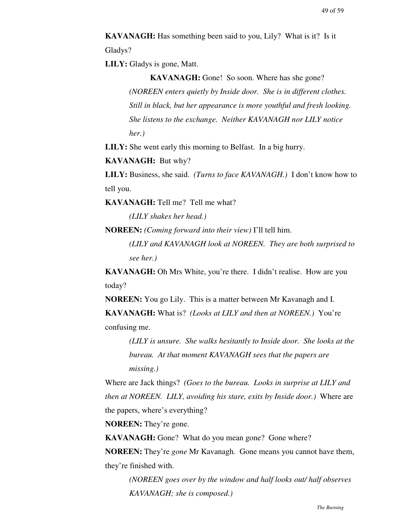**KAVANAGH:** Has something been said to you, Lily? What is it? Is it Gladys?

**LILY:** Gladys is gone, Matt.

**KAVANAGH:** Gone! So soon. Where has she gone? *(NOREEN enters quietly by Inside door. She is in different clothes. Still in black, but her appearance is more youthful and fresh looking. She listens to the exchange. Neither KAVANAGH nor LILY notice her.)*

**LILY:** She went early this morning to Belfast. In a big hurry.

**KAVANAGH:** But why?

**LILY:** Business, she said. *(Turns to face KAVANAGH.)* I don't know how to tell you.

**KAVANAGH:** Tell me? Tell me what?

*(LILY shakes her head.)*

**NOREEN:** *(Coming forward into their view)* I'll tell him.

*(LILY and KAVANAGH look at NOREEN. They are both surprised to see her.)*

**KAVANAGH:** Oh Mrs White, you're there. I didn't realise. How are you today?

**NOREEN:** You go Lily. This is a matter between Mr Kavanagh and I.

**KAVANAGH:** What is? *(Looks at LILY and then at NOREEN.)* You're confusing me.

*(LILY is unsure. She walks hesitantly to Inside door. She looks at the bureau. At that moment KAVANAGH sees that the papers are missing.)*

Where are Jack things? *(Goes to the bureau. Looks in surprise at LILY and then at NOREEN. LILY, avoiding his stare, exits by Inside door.)* Where are the papers, where's everything?

**NOREEN:** They're gone.

**KAVANAGH:** Gone? What do you mean gone? Gone where?

**NOREEN:** They're *gone* Mr Kavanagh. Gone means you cannot have them, they're finished with.

*(NOREEN goes over by the window and half looks out/ half observes KAVANAGH; she is composed.)*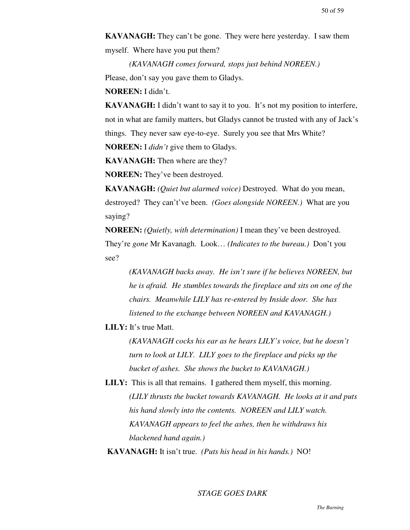**KAVANAGH:** They can't be gone. They were here yesterday. I saw them myself. Where have you put them?

*(KAVANAGH comes forward, stops just behind NOREEN.)* Please, don't say you gave them to Gladys.

**NOREEN:** I didn't.

**KAVANAGH:** I didn't want to say it to you. It's not my position to interfere, not in what are family matters, but Gladys cannot be trusted with any of Jack's things. They never saw eye-to-eye. Surely you see that Mrs White? **NOREEN:** I *didn't* give them to Gladys.

**KAVANAGH:** Then where are they?

**NOREEN:** They've been destroyed.

**KAVANAGH:** *(Quiet but alarmed voice)* Destroyed. What do you mean, destroyed? They can't've been. *(Goes alongside NOREEN.)* What are you saying?

**NOREEN:** *(Quietly, with determination)* I mean they've been destroyed. They're *gone* Mr Kavanagh. Look… *(Indicates to the bureau.)* Don't you see?

> *(KAVANAGH backs away. He isn't sure if he believes NOREEN, but he is afraid. He stumbles towards the fireplace and sits on one of the chairs. Meanwhile LILY has re-entered by Inside door. She has listened to the exchange between NOREEN and KAVANAGH.)*

**LILY:** It's true Matt.

*(KAVANAGH cocks his ear as he hears LILY's voice, but he doesn't turn to look at LILY. LILY goes to the fireplace and picks up the bucket of ashes. She shows the bucket to KAVANAGH.)*

**LILY:** This is all that remains. I gathered them myself, this morning. *(LILY thrusts the bucket towards KAVANAGH. He looks at it and puts his hand slowly into the contents. NOREEN and LILY watch. KAVANAGH appears to feel the ashes, then he withdraws his blackened hand again.)*

**KAVANAGH:** It isn't true. *(Puts his head in his hands.)* NO!

### *STAGE GOES DARK*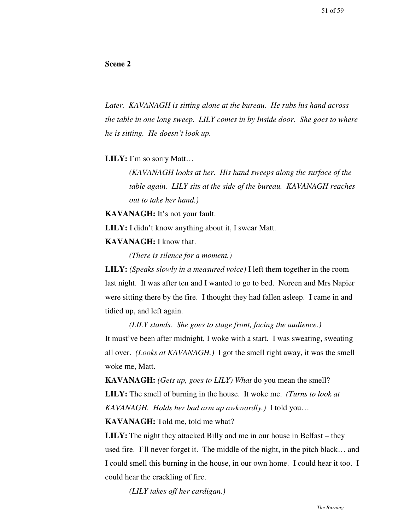### **Scene 2**

*Later. KAVANAGH is sitting alone at the bureau. He rubs his hand across the table in one long sweep. LILY comes in by Inside door. She goes to where he is sitting. He doesn't look up.*

**LILY:** I'm so sorry Matt…

*(KAVANAGH looks at her. His hand sweeps along the surface of the table again. LILY sits at the side of the bureau. KAVANAGH reaches out to take her hand.)*

**KAVANAGH:** It's not your fault.

**LILY:** I didn't know anything about it, I swear Matt.

**KAVANAGH:** I know that.

*(There is silence for a moment.)*

**LILY:** *(Speaks slowly in a measured voice)* I left them together in the room last night. It was after ten and I wanted to go to bed. Noreen and Mrs Napier were sitting there by the fire. I thought they had fallen asleep. I came in and tidied up, and left again.

*(LILY stands. She goes to stage front, facing the audience.)* It must've been after midnight, I woke with a start. I was sweating, sweating all over. *(Looks at KAVANAGH.)* I got the smell right away, it was the smell woke me, Matt.

**KAVANAGH:** *(Gets up, goes to LILY) What* do you mean the smell? **LILY:** The smell of burning in the house. It woke me. *(Turns to look at KAVANAGH. Holds her bad arm up awkwardly.)* I told you…

**KAVANAGH:** Told me, told me what?

**LILY:** The night they attacked Billy and me in our house in Belfast – they used fire. I'll never forget it. The middle of the night, in the pitch black… and I could smell this burning in the house, in our own home. I could hear it too. I could hear the crackling of fire.

*(LILY takes off her cardigan.)*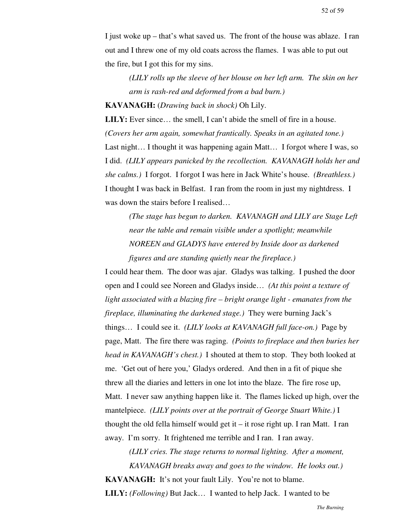I just woke up – that's what saved us. The front of the house was ablaze. I ran out and I threw one of my old coats across the flames. I was able to put out the fire, but I got this for my sins.

*(LILY rolls up the sleeve of her blouse on her left arm. The skin on her arm is rash-red and deformed from a bad burn.)*

**KAVANAGH:** (*Drawing back in shock)* Oh Lily.

**LILY:** Ever since... the smell, I can't abide the smell of fire in a house. *(Covers her arm again, somewhat frantically. Speaks in an agitated tone.)* Last night... I thought it was happening again Matt... I forgot where I was, so I did. *(LILY appears panicked by the recollection. KAVANAGH holds her and she calms.)* I forgot. I forgot I was here in Jack White's house. *(Breathless.)* I thought I was back in Belfast. I ran from the room in just my nightdress. I was down the stairs before I realised…

*(The stage has begun to darken. KAVANAGH and LILY are Stage Left near the table and remain visible under a spotlight; meanwhile NOREEN and GLADYS have entered by Inside door as darkened figures and are standing quietly near the fireplace.)*

I could hear them. The door was ajar. Gladys was talking. I pushed the door open and I could see Noreen and Gladys inside… *(At this point a texture of light associated with a blazing fire – bright orange light - emanates from the fireplace, illuminating the darkened stage.)* They were burning Jack's things… I could see it. *(LILY looks at KAVANAGH full face-on.)* Page by page, Matt. The fire there was raging. *(Points to fireplace and then buries her head in KAVANAGH's chest.)* I shouted at them to stop. They both looked at me. 'Get out of here you,' Gladys ordered. And then in a fit of pique she threw all the diaries and letters in one lot into the blaze. The fire rose up, Matt. I never saw anything happen like it. The flames licked up high, over the mantelpiece. *(LILY points over at the portrait of George Stuart White.)* I thought the old fella himself would get it – it rose right up. I ran Matt. I ran away. I'm sorry. It frightened me terrible and I ran. I ran away.

*(LILY cries. The stage returns to normal lighting. After a moment, KAVANAGH breaks away and goes to the window. He looks out.)* **KAVANAGH:** It's not your fault Lily. You're not to blame. **LILY:** *(Following)* But Jack… I wanted to help Jack. I wanted to be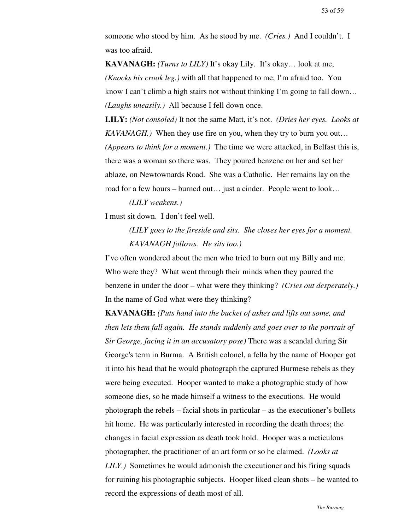someone who stood by him. As he stood by me. *(Cries.)* And I couldn't. I was too afraid.

**KAVANAGH:** *(Turns to LILY)* It's okay Lily. It's okay… look at me, *(Knocks his crook leg.)* with all that happened to me, I'm afraid too. You know I can't climb a high stairs not without thinking I'm going to fall down... *(Laughs uneasily.)* All because I fell down once.

**LILY:** *(Not consoled)* It not the same Matt, it's not. *(Dries her eyes. Looks at KAVANAGH.)* When they use fire on you, when they try to burn you out… *(Appears to think for a moment.)* The time we were attacked, in Belfast this is, there was a woman so there was. They poured benzene on her and set her ablaze, on Newtownards Road. She was a Catholic. Her remains lay on the road for a few hours – burned out… just a cinder. People went to look…

*(LILY weakens.)*

I must sit down. I don't feel well.

*(LILY goes to the fireside and sits. She closes her eyes for a moment. KAVANAGH follows. He sits too.)*

I've often wondered about the men who tried to burn out my Billy and me. Who were they? What went through their minds when they poured the benzene in under the door – what were they thinking? *(Cries out desperately.)* In the name of God what were they thinking?

**KAVANAGH:** *(Puts hand into the bucket of ashes and lifts out some, and then lets them fall again. He stands suddenly and goes over to the portrait of Sir George, facing it in an accusatory pose)* There was a scandal during Sir George's term in Burma. A British colonel, a fella by the name of Hooper got it into his head that he would photograph the captured Burmese rebels as they were being executed. Hooper wanted to make a photographic study of how someone dies, so he made himself a witness to the executions. He would photograph the rebels – facial shots in particular – as the executioner's bullets hit home. He was particularly interested in recording the death throes; the changes in facial expression as death took hold. Hooper was a meticulous photographer, the practitioner of an art form or so he claimed. *(Looks at LILY.)* Sometimes he would admonish the executioner and his firing squads for ruining his photographic subjects. Hooper liked clean shots – he wanted to record the expressions of death most of all.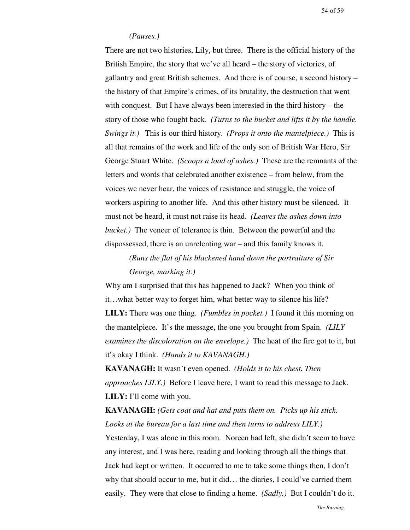### *(Pauses.)*

There are not two histories, Lily, but three. There is the official history of the British Empire, the story that we've all heard – the story of victories, of gallantry and great British schemes. And there is of course, a second history – the history of that Empire's crimes, of its brutality, the destruction that went with conquest. But I have always been interested in the third history – the story of those who fought back. *(Turns to the bucket and lifts it by the handle. Swings it.)* This is our third history. *(Props it onto the mantelpiece.)* This is all that remains of the work and life of the only son of British War Hero, Sir George Stuart White. *(Scoops a load of ashes.)* These are the remnants of the letters and words that celebrated another existence – from below, from the voices we never hear, the voices of resistance and struggle, the voice of workers aspiring to another life. And this other history must be silenced. It must not be heard, it must not raise its head. *(Leaves the ashes down into bucket.)* The veneer of tolerance is thin. Between the powerful and the dispossessed, there is an unrelenting war – and this family knows it.

*(Runs the flat of his blackened hand down the portraiture of Sir George, marking it.)*

Why am I surprised that this has happened to Jack? When you think of it…what better way to forget him, what better way to silence his life? **LILY:** There was one thing. *(Fumbles in pocket.)* I found it this morning on the mantelpiece. It's the message, the one you brought from Spain. *(LILY examines the discoloration on the envelope.)* The heat of the fire got to it, but it's okay I think. *(Hands it to KAVANAGH.)*

**KAVANAGH:** It wasn't even opened. *(Holds it to his chest. Then approaches LILY.)* Before I leave here, I want to read this message to Jack. **LILY:** I'll come with you.

# **KAVANAGH:** *(Gets coat and hat and puts them on. Picks up his stick. Looks at the bureau for a last time and then turns to address LILY.)*

Yesterday, I was alone in this room. Noreen had left, she didn't seem to have any interest, and I was here, reading and looking through all the things that Jack had kept or written. It occurred to me to take some things then, I don't why that should occur to me, but it did… the diaries, I could've carried them easily. They were that close to finding a home. *(Sadly.)* But I couldn't do it.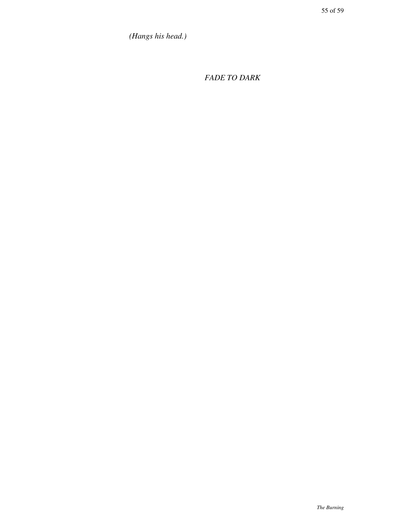*(Hangs his head.)*

*FADE TO DARK*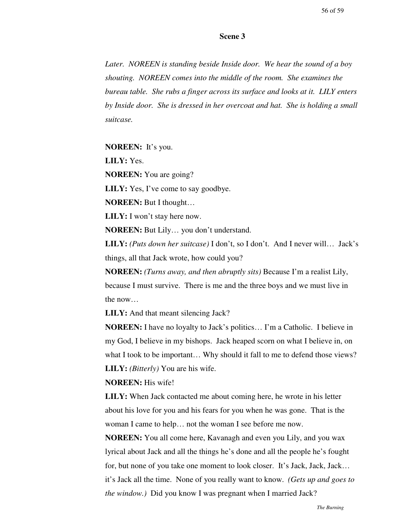#### **Scene 3**

*Later. NOREEN is standing beside Inside door. We hear the sound of a boy shouting. NOREEN comes into the middle of the room. She examines the bureau table. She rubs a finger across its surface and looks at it. LILY enters by Inside door. She is dressed in her overcoat and hat. She is holding a small suitcase.*

**NOREEN:** It's you.

**LILY:** Yes.

**NOREEN:** You are going?

**LILY:** Yes, I've come to say goodbye.

**NOREEN:** But I thought…

**LILY:** I won't stay here now.

**NOREEN:** But Lily… you don't understand.

**LILY:** *(Puts down her suitcase)* I don't, so I don't. And I never will… Jack's things, all that Jack wrote, how could you?

**NOREEN:** *(Turns away, and then abruptly sits)* Because I'm a realist Lily, because I must survive. There is me and the three boys and we must live in the now…

**LILY:** And that meant silencing Jack?

**NOREEN:** I have no loyalty to Jack's politics… I'm a Catholic. I believe in my God, I believe in my bishops. Jack heaped scorn on what I believe in, on what I took to be important… Why should it fall to me to defend those views? **LILY:** *(Bitterly)* You are his wife.

**NOREEN:** His wife!

**LILY:** When Jack contacted me about coming here, he wrote in his letter about his love for you and his fears for you when he was gone. That is the woman I came to help… not the woman I see before me now.

**NOREEN:** You all come here, Kavanagh and even you Lily, and you wax lyrical about Jack and all the things he's done and all the people he's fought for, but none of you take one moment to look closer. It's Jack, Jack, Jack… it's Jack all the time. None of you really want to know. *(Gets up and goes to the window.)* Did you know I was pregnant when I married Jack?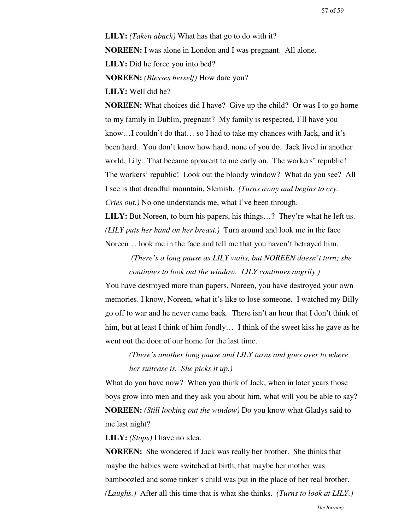**LILY:** *(Taken aback)* What has that go to do with it? **NOREEN:** I was alone in London and I was pregnant. All alone. **LILY:** Did he force you into bed? **NOREEN:** *(Blesses herself)* How dare you?

**LILY:** Well did he?

**NOREEN:** What choices did I have? Give up the child? Or was I to go home to my family in Dublin, pregnant? My family is respected, I'll have you know…I couldn't do that… so I had to take my chances with Jack, and it's been hard. You don't know how hard, none of you do. Jack lived in another world, Lily. That became apparent to me early on. The workers' republic! The workers' republic! Look out the bloody window? What do you see? All I see is that dreadful mountain, Slemish. *(Turns away and begins to cry. Cries out.)* No one understands me, what I've been through.

**LILY:** But Noreen, to burn his papers, his things...? They're what he left us. *(LILY puts her hand on her breast.)* Turn around and look me in the face Noreen… look me in the face and tell me that you haven't betrayed him.

 *(There's a long pause as LILY waits, but NOREEN doesn't turn; she continues to look out the window. LILY continues angrily.)*

You have destroyed more than papers, Noreen, you have destroyed your own memories. I know, Noreen, what it's like to lose someone. I watched my Billy go off to war and he never came back. There isn't an hour that I don't think of him, but at least I think of him fondly... I think of the sweet kiss he gave as he went out the door of our home for the last time.

*(There's another long pause and LILY turns and goes over to where her suitcase is. She picks it up.)*

What do you have now? When you think of Jack, when in later years those boys grow into men and they ask you about him, what will you be able to say? **NOREEN:** *(Still looking out the window)* Do you know what Gladys said to me last night?

**LILY:** *(Stops)* I have no idea.

**NOREEN:** She wondered if Jack was really her brother. She thinks that maybe the babies were switched at birth, that maybe her mother was bamboozled and some tinker's child was put in the place of her real brother. *(Laughs.)* After all this time that is what she thinks. *(Turns to look at LILY.)*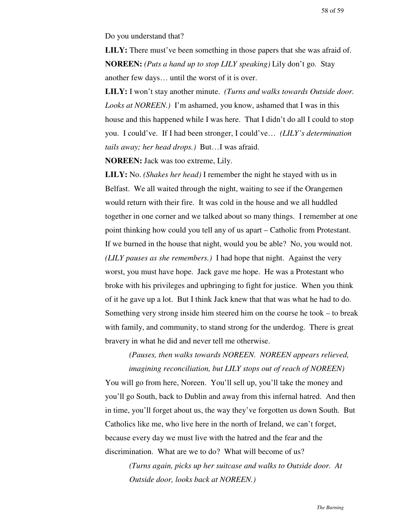Do you understand that?

**LILY:** There must've been something in those papers that she was afraid of. **NOREEN:** *(Puts a hand up to stop LILY speaking)* Lily don't go. Stay another few days… until the worst of it is over.

**LILY:** I won't stay another minute. *(Turns and walks towards Outside door. Looks at NOREEN.)* I'm ashamed, you know, ashamed that I was in this house and this happened while I was here. That I didn't do all I could to stop you. I could've. If I had been stronger, I could've… *(LILY's determination tails away; her head drops.)* But…I was afraid.

**NOREEN:** Jack was too extreme, Lily.

**LILY:** No. *(Shakes her head)* I remember the night he stayed with us in Belfast. We all waited through the night, waiting to see if the Orangemen would return with their fire. It was cold in the house and we all huddled together in one corner and we talked about so many things. I remember at one point thinking how could you tell any of us apart – Catholic from Protestant. If we burned in the house that night, would you be able? No, you would not. *(LILY pauses as she remembers.)* I had hope that night. Against the very worst, you must have hope. Jack gave me hope. He was a Protestant who broke with his privileges and upbringing to fight for justice. When you think of it he gave up a lot. But I think Jack knew that that was what he had to do. Something very strong inside him steered him on the course he took – to break with family, and community, to stand strong for the underdog. There is great bravery in what he did and never tell me otherwise.

# *(Pauses, then walks towards NOREEN. NOREEN appears relieved, imagining reconciliation, but LILY stops out of reach of NOREEN)*

You will go from here, Noreen. You'll sell up, you'll take the money and you'll go South, back to Dublin and away from this infernal hatred. And then in time, you'll forget about us, the way they've forgotten us down South. But Catholics like me, who live here in the north of Ireland, we can't forget, because every day we must live with the hatred and the fear and the discrimination. What are we to do? What will become of us?

*(Turns again, picks up her suitcase and walks to Outside door. At Outside door, looks back at NOREEN.)*